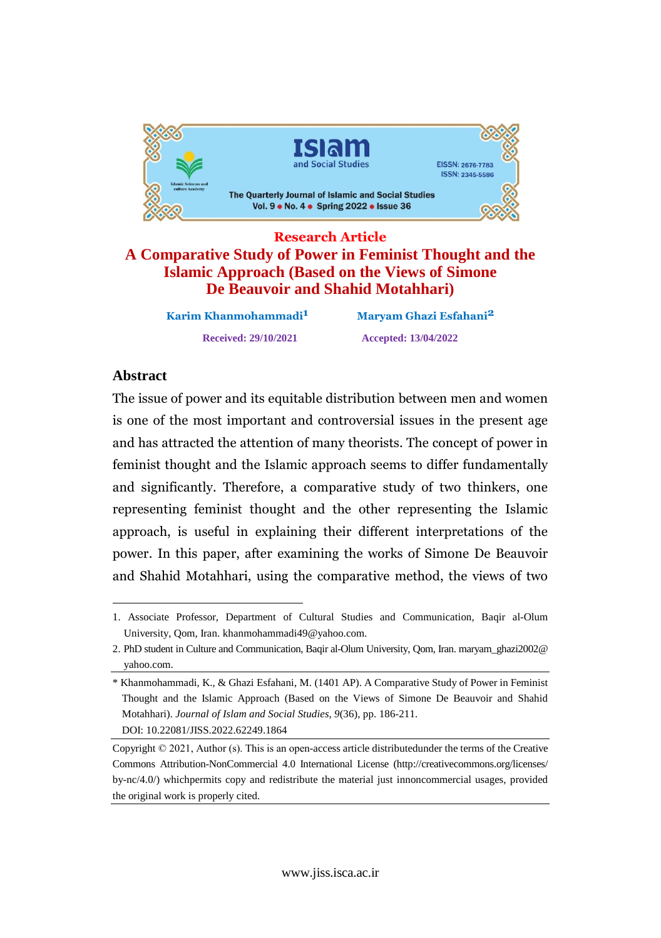

**Research Article A Comparative Study of Power in Feminist Thought and the Islamic Approach (Based on the Views of Simone De Beauvoir and Shahid Motahhari)**

> **KarimReceived: 29/10/2021 Accepted: 13/04/2022**

**Maryam Ghazi Esfahani<sup>2</sup>** 

### **Abstract**

The issue of power and its equitable distribution between men and women is one of the most important and controversial issues in the present age  $\frac{10}{2}$  has attracted the attention of many theorists. The concept of power in ana nao throught and the Islamic approach seems to differ fundamentally <sup>1</sup> significantly. Therefore, a comparative study of two thinkers, one ana bizantia feminist thought and the other representing the Islamic approach,is useful in explaining their different interpretations of the power.In this paper, after examining the works of Simone De Beauvoir pon<br>... and Shahid Motahhari, using the comparative method, the views of two

<sup>1.</sup> Associate Professor, Department of Cultural Studies and Communication, Baqir al-Olum University, Qom, Iran. [khanmohammadi49@yahoo.com.](mailto:khanmohammadi49@yahoo.com.)

<sup>2.</sup> PhD student in Culture and Communication, Baqir al-Olum University, Qom, Iran. maryam\_ghazi2002@ yahoo.com.

<sup>\*</sup> Khanmohammadi, K., & Ghazi Esfahani, M. (1401 AP). A Comparative Study of Power in Feminist Thought and the Islamic Approach (Based on the Views of Simone De Beauvoir and Shahid Motahhari). *Journal of Islam and Social Studies, 9*(36), pp. 186-211. DOI: 10.22081/JISS.2022.62249.1864

Copyright © 2021, Author (s). This is an open-access article distributedunder the terms of the Creative Commons Attribution-NonCommercial 4.0 International License (http://creativecommons.org/licenses/ by-nc/4.0/) whichpermits copy and redistribute the material just innoncommercial usages, provided the original work is properly cited.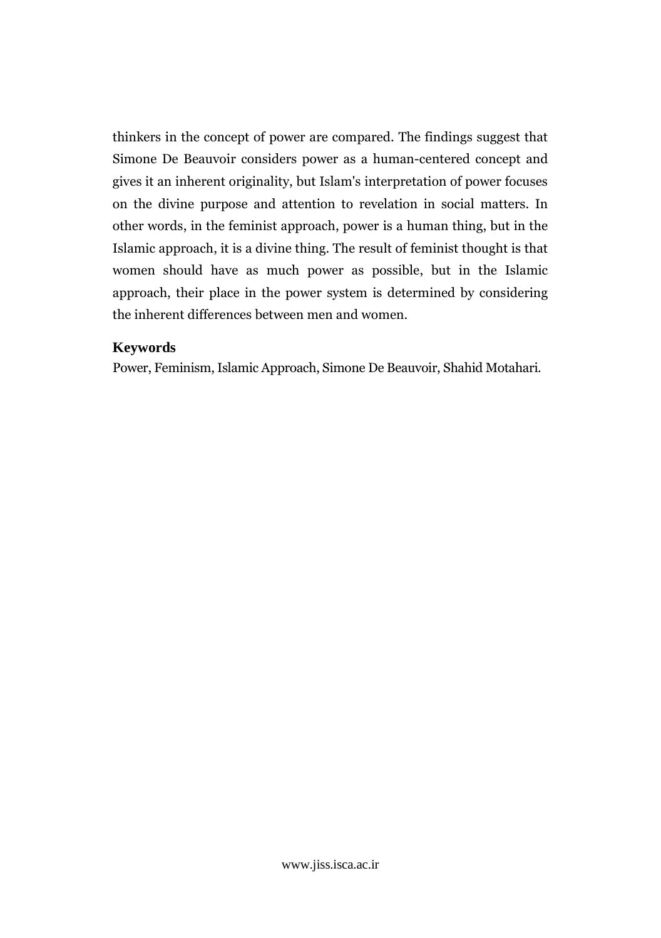thinkers in the concept of power are compared. The findings suggest that Simone De Beauvoir considers power as <sup>a</sup> human-centered concept and  $rac{1}{2}$  it an inherent originality, but Islam's interpretation of power focuses  $\ddot{\phantom{0}}$ the divine purpose and attention to revelation in social matters. In on in words, in the feminist approach, power is a human thing, but in the vince " approach, it is <sup>a</sup> divine thing. The result of feminist thought is that widdhedd<br>1 should have as much power as possible, but in the Islamic  $n$ approach, their place in the power system is determined by considering the inherent differences between men and women.

# Keywords

Feminism, Islamic Approach, Simone De Beauvoir, Shahid Motahari.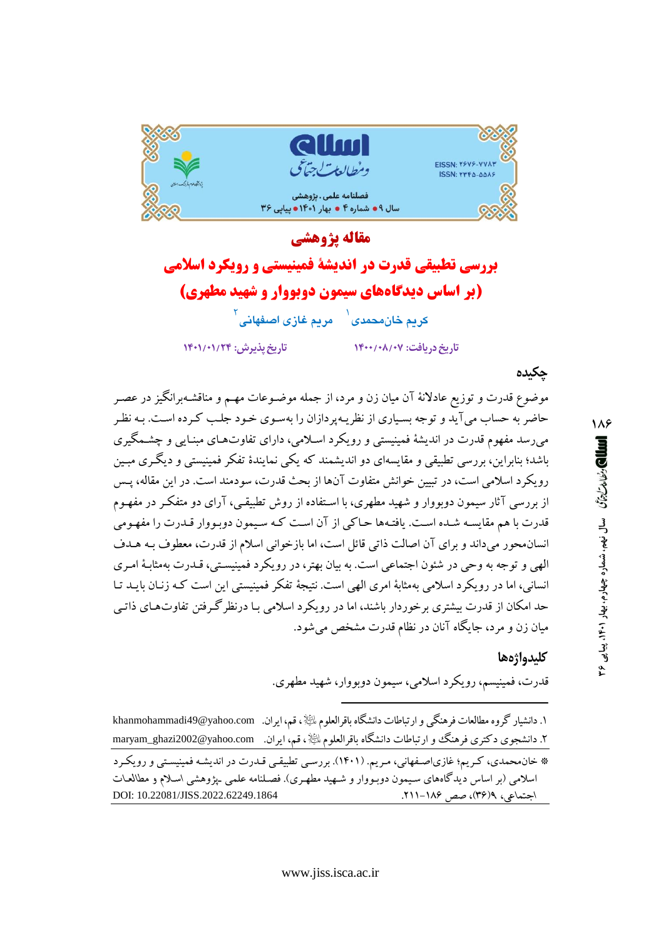

# مقاله يژوهشي بررسی تطبیقی قدرت در اندیشهٔ فمینیستی و رویکرد اسلامی (بر اساس دیدگاههای سیمون دوبووار و شهید مطهری) کريم خان،محمدی<sup>(</sup> مريم غازی اصغهانی<sup>۲</sup> تاريخ يذيرش: ١۴٠١/٠١/٢۴ تاریخ دریافت: ۰۸/۰۷/۰۷

### چکیدہ

موضوع قدرت و توزیع عادلانهٔ آن میان زن و مرد، از جمله موضـوعات مهـم و مناقشـهبرانگیز در عصـر حاضر به حساب میآید و توجه بسیاری از نظریـهپردازان را بهسوی خـود جلـب کـرده اسـت. بـه نظـر میرسد مفهوم قدرت در اندیشهٔ فمینیستی و رویکرد اسلامی، دارای تفاوتهـای مبنـایی و چشـمگیری باشد؛ بنابراین، بررسی تطبیقی و مقایسهای دو اندیشمند که یکی نمایندهٔ تفکر فمینیستی و دیگری مبـین رویکرد اسلامی است، در تبیین خوانش متفاوت آنها از بحث قدرت، سودمند است. در این مقاله، پـس از بررسی آثار سیمون دوبووار و شهید مطهری، با استفاده از روش تطبیقی، آرای دو متفکر در مفهـوم قدرت با هم مقايسـه شـده اسـت. يافتـهها حـاكي از آن اسـت كـه سـيمون دوبـووار قـدرت را مفهـومي انسان.محور میداند و برای آن اصالت ذاتی قائل است، اما بازخوانی اسلام از قدرت، معطوف بـه هـدف الهي و توجه به وحي در شئون اجتماعي است. به بيان بهتر، در رويكرد فمينيسـتي، قــدرت بهمثابـهٔ امـري انسانی، اما در رویکرد اسلامی بهمثابهٔ امری الهی است. نتیجهٔ تفکر فمینیستی این است کـه زنـان بایـد تـا حد امکان از قدرت بیشتری برخوردار باشند، اما در رویکرد اسلامی بـا درنظرگـرفتن تفاوتهـای ذاتـی مبان زن و مرد، جایگاه آنان در نظام قدرت مشخص می شود.

### كليدواژهها

قدرت، فمینیسم، رویکرد اسلامی، سیمون دوبووار، شهید مطهری.

۱. دانشیار گروه مطالعات فرهنگی و ارتباطات دانشگاه باقرالعلوم ﷺ، قم، ایران. khanmohammadi49@yahoo.com ۲. دانشجوی دکتری فرهنگ و ارتباطات دانشگاه باقرالعلوم بائيلا ، قم، ايران. maryam\_ghazi2002@yahoo.com

\* خان.محمدی، کـریم؛ غازیاصـفهانی، مـریم. (۱۴۰۱). بررسـی تطبیقـی قـدرت در اندیشـه فمینیسـتی و رویکـرد اسلامی (بر اساس دیدگاههای سیمون دوبـووار و شـهید مطهـری). فصـلنامه علمی ـیژوهشی اسـلام و مطالعـات DOI: 10.22081/JISS.2022.62249.1864 اجتماعی، ۶(۳۶)، صص ۱۸۶–۲۱۱.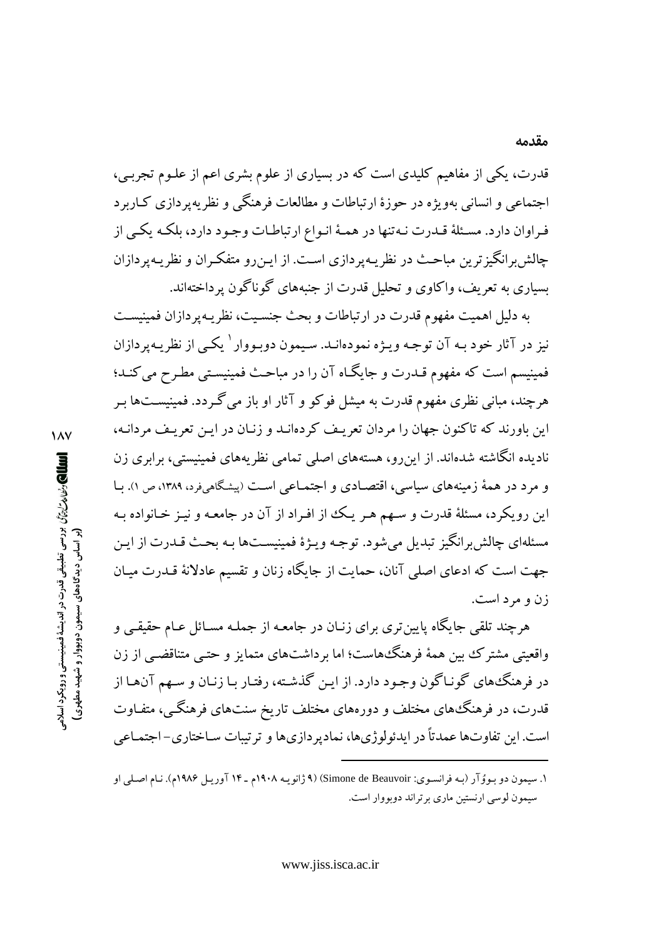قدرت، یکی از مفاهیم کلیدی است که در بسیاری از علوم بشری اعم از علـوم تجربـی، اجتماعی و انسانی بهویژه در حوزهٔ ارتباطات و مطالعات فرهنگی و نظریه یردازی کIربر د فراوان دارد. مسـئلهٔ قـدرت نـهتنها در همـهٔ انـواع ارتباطـات وجـود دارد، بلكـه يكـي از چالش برانگیز ترین مباحث در نظر پـه پر دازی اسـت. از ایـن رو متفکـران و نظر پـه پر دازان بسیاری به تعریف، واکاوی و تحلیل قدرت از جنبههای گوناگون پرداختهاند.

به دلیل اهمیت مفهوم قدرت در ارتباطات و بحث جنسـیت، نظریـه پردازان فمینیسـت نیز در آثار خود بـه آن توجـه ویـژه نمودهانــد. سـیمون دوبـووار <sup>۱</sup> یکـی از نظریــهیردازان فمینیسم است که مفهوم قـدرت و جایگـاه آن را در مباحـث فمینیسـتبی مطـرح می کنـد؛ هرچند، مبانی نظری مفهوم قدرت به میشل فوکو و آثار او باز میگردد. فمینیسـتها بـر این باورند که تاکنون جهان را مردان تعریف کردهانـد و زنـان در ایـن تعریـف مردانـه، نادیده انگاشته شدهاند. از این٫رو، هستههای اصلی تمامی نظریههای فمینیستی، برابری زن و مرد در همهٔ زمینههای سیاسی، اقتصادی و اجتماعی است (پیشگاهیفرد، ۱۳۸۹، ص ۱). بـا این رویکرد، مسئلهٔ قدرت و سـهم هـر یـک از افـراد از آن در جامعـه و نیـز خـانواده بـه مسئلهاي چالش برانگيز تبديل مي شود. توجـه ويـژۀ فمينيســتها بـه بحـث قــدرت از ايـن جهت است كه ادعاى اصلى آنان، حمايت از جايگاه زنان و تقسيم عادلانهٔ قــدرت ميـان زن و مرد است.

هرچند تلقی جایگاه پایین تری برای زنـان در جامعـه از جملـه مسـائل عـام حقیقـی و واقعیتی مشترک بین همهٔ فرهنگ۵هاست؛ اما برداشتهای متمایز و حتـبی متناقضـبی از زن در فرهنگههای گونـاگون وجـود دارد. از ایـن گذشـته، رفتـار بـا زنـان و سـهم آن.هـا از قدرت، در فرهنگ&ای مختلف و دورههای مختلف تاریخ سنتهای فرهنگـی، متفـاوت است. این تفاوتها عمدتاً در ایدئولوژیها، نمادپردازیها و ترتیبات سـاختاری- اجتمـاعی

 $\lambda$ الله المحارث المالم المراسي المستقى قدرت در انديشة فمينيستى و رويكرد اسلامى المسلم ر اساس دیدگاههای سیمون دوبووار و شهید مطهری

۱. سیمون دو بـووُ آر (بـه فرانسـوي: Simone de Beauvoir) (۹ ژانویـه ۱۹۰۸م ـ ۱۴ آوریـل ۱۹۸۶م). نـام اصـلي او سیمون لوسی ارنستین ماری برتراند دوبووار است.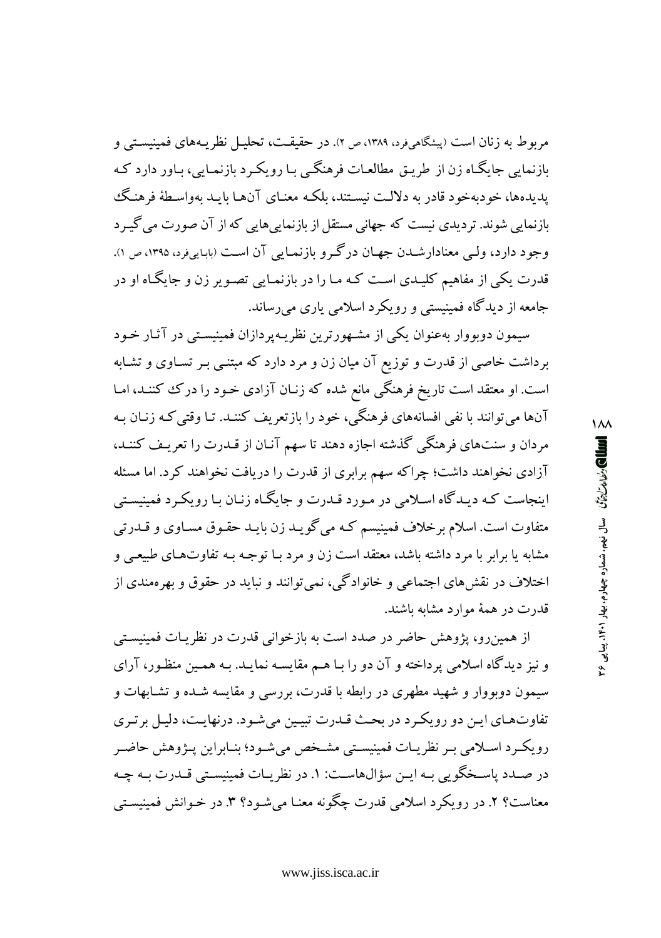مربوط به زنان است (پیشگاهیفرد، ۱۳۸۹، ص ۲). در حقیقـت، تحلیـل نظر یـههای فمینیسـتـی و بازنمایی جایگـاه زن از طریـق مطالعـات فرهنگـی بـا رویكـرد بازنمـایی، بـاور دارد كـه يديدها، خوديهخود قادر به دلالت نيستند، بلكـه معنـاي آنهـا بابـد بهواسـطهٔ فرهنـگ بازنمایی شوند. تردیدی نیست که جهانی مستقل از بازنمایی هایی که از آن صورت می گیرد وجود دارد، ولبي معنادارشـدن جهـان درگـرو بازنمـايي آن اسـت (بابـاييفرد، ۱۳۹۵، ص ۱). قدرت یکی از مفاهیم کلیـدی اسـت کـه مـا را در بازنمـایی تصـویر زن و جایگـاه او در جامعه از دیدگاه فمینیستی و رویکرد اسلامی یاری می رساند.

سیمون دوبووار بهعنوان یکی از مشهورترین نظریـهپردازان فمینیسـتی در آثـار خـود برداشت خاصی از قدرت و توزیع آن میان زن و مرد دارد که مبتنبی بـر تسـاوی و تشـابه است. او معتقد است تاریخ فرهنگی مانع شده که زنـان آزادی خـود را درک کننـد، امـا آنها می توانند با نفی افسانههای فرهنگی، خود را بازتعریف کننـد. تـا وقتی کـه زنـان بـه مردان و سنتهاي فرهنگي گذشته اجازه دهند تا سهم آنـان از قـدرت را تعريـف كننـد، آزادی نخواهند داشت؛ چراکه سهم برابری از قدرت را دریافت نخواهند کرد. اما مسئله اینجاست کـه دیـدگاه اسـلامی در مـورد قـدرت و جایگـاه زنـان بـا رویکـرد فمینیسـتی متفاوت است. اسلام برخلاف فمینیسم کـه می گویـد زن بایـد حقـوق مسـاوی و قــدرتی مشابه یا برابر با مرد داشته باشد، معتقد است زن و مرد بـا توجـه بـه تفاوتهـای طبیعـی و اختلاف در نقشهای اجتماعی و خانوادگی، نمی توانند و نباید در حقوق و بهرهمندی از قدرت در همهٔ موارد مشابه باشند.

از همینرو، پژوهش حاضر در صدد است به بازخوانی قدرت در نظریـات فمینیسـتی و نیز دیدگاه اسلامی پرداخته و آن دو را بـا هـم مقایسـه نمایـد. بـه همـین منظـور، آرای سیمون دوبووار و شهید مطهری در رابطه با قدرت، بررسی و مقایسه شـده و تشـابهات و تفاوتهای این دو رویکرد در بحث قدرت تبیین می شود. درنهایت، دلیل بر تری رویک د اسلامی به نظریـات فمینیسـتی مشـخص می شـود؛ بنـابراین پـژوهش حاضـر در صـدد ياسـخگويي بـه ايـن سؤالهاسـت: ١. در نظريـات فمينيسـتي قـدرت بـه چـه معناست؟ ۲. در رویکرد اسلامی قدرت چگونه معنـا می شـود؟ ۳. در خـوانش فمینیسـتی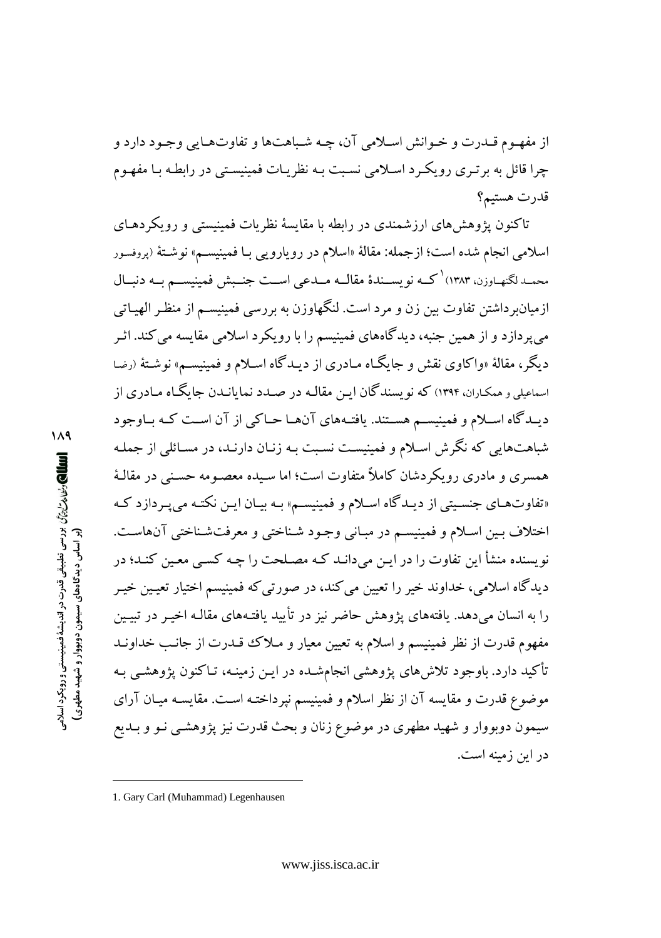از مفهـوم قــدرت و خــوانش اســلامي آن، چـه شـباهتها و تفاوتهـايي وجـود دارد و چرا قائل به بر تیری رویک د اسلامی نسبت بـه نظریـات فمینیسـتی در رابطـه بـا مفهـوم قدرت هستيم؟

تاکنون پژوهش های ارزشمندی در رابطه با مقایسهٔ نظریات فمینیستی و رویکردهـای اسلامی انجام شده است؛ ازجمله: مقالهٔ «اسلام در رویارویی بـا فمینیسـم» نوشـتهٔ (پروفسور محمـدلگنهـاوزن، ۱۳۸۳) کــه نویســندهٔ مقالــه مــدعی اســت جنــبش فمینیســم بــه دنبــال ازمیانبر داشتن تفاوت بین زن و مرد است. لنگهاوزن به بررسی فمینیسـم از منظـر الهیـاتی می پر دازد و از همین جنبه، دیدگاههای فمینیسم را با رویکرد اسلامی مقایسه می کند. اثـر دبگر، مقالهٔ «واکاوی نقش و جایگـاه مـادری از دیـدگاه اسـلام و فمینیسـم» نوشـتهٔ (رضا اسماعیلی و همکـاران، ۱۳۹۴) که نو پسندگان ایـن مقالـه در صـدد نمایانـدن جایگـاه مـادری از دیــدگاه اســلام و فمینیســم هســتند. یافتــههای آنهــا حــاکی از آن اســت کــه بــاوجود شباهتهایی که نگرش اسلام و فمینیست نسبت بـه زنـان دارنـد، در مسـائلی از جملـه همسری و مادری رویکردشان کاملاً متفاوت است؛ اما سـیده معصـومه حسـنی در مقالـهٔ «تفاوتهـاي جنسـيتي از ديـدگاه اسـلام و فمينيسـم» بـه بيـان ايـن نكتـه مييبـردازد كـه اختلاف بـين اسـلام و فمينيسـم در مبـاني وجـود شـناختي و معرفتشـناختي آن&اسـت. نویسنده منشأ این تفاوت را در ایـن میدانـد کـه مصـلحت را چـه کسـی معـین کنـد؛ در دیدگاه اسلامی، خداوند خیر را تعیین می کند، در صورتی که فمینیسم اختیار تعیین خیـر را به انسان میدهد. یافتههای یژوهش حاضر نیز در تأیید یافتـههای مقالـه اخیـر در تبیـین مفهوم قدرت از نظر فمینیسم و اسلام به تعیین معیار و مـلاک قـدرت از جانـب خداونـد تأکید دارد. باوجود تلاشهای پژوهشی انجامشـده در ایـن زمینـه، تـاکنون پژوهشـی بـه موضوع قدرت و مقایسه آن از نظر اسلام و فمینیسم نیرداختـه اسـت. مقایسـه میـان آرای سیمون دوبووار و شهید مطهری در موضوع زنان و بحث قدرت نیز پژوهشـی نـو و بـدیع در این زمینه است.

<sup>1.</sup> Gary Carl (Muhammad) Legenhausen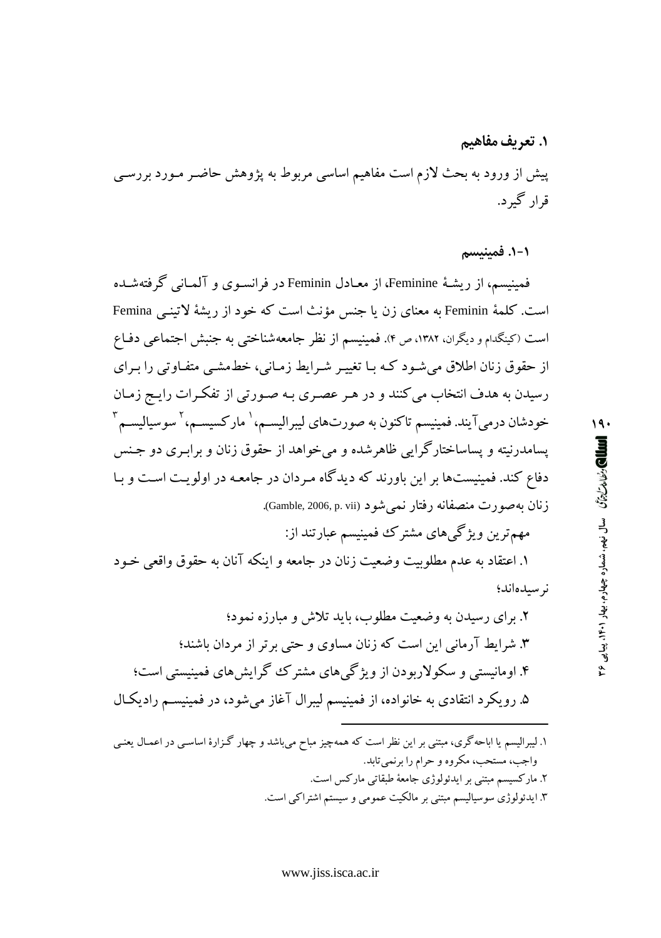۱. تعریف مفاهیم پیش از ورود به بحث لازم است مفاهیم اساسی مربوط به یژوهش حاضـر مـورد بررسـی قرار گېر د.

١-١. فمينيسم

فمینیسم، از ریشـهٔ Feminine، از معـادل Feminin در فرانسـوی و آلمـانی گرفتهشـده است. كلمهٔ Feminin به معناى زن يا جنس مؤنث است كه خود از ريشهٔ لاتينـي Femina است (کینگدام و دیگران، ۱۳۸۲، ص ۴). فمینیسم از نظر جامعهشناختبی به جنبش اجتماعی دفـاع از حقوق زنان اطلاق می شـود کـه بـا تغییـر شـرایط زمـانی، خطـمشـی متفـاوتی را بـرای رسیدن به هدف انتخاب می کنند و در هـر عصـری بـه صـورتی از تفکـرات رایـج زمـان خودشان درمي آيند. فمينيسم تاكنون به صورتهاي ليبراليسـم، ٰ ماركسيسـم، ٰ سوسياليسـم ؑ پسامدرنیته و پساساختارگرایی ظاهرشده و میخواهد از حقوق زنان و برابـری دو جـنس دفاع کند. فمینیستها بر این باورند که دیدگاه مردان در جامعه در اولویت است و بـا زنان بهصورت منصفانه رفتار نمي شود (Gamble, 2006, p. vii).

مهم ترین ویژگیهای مشترک فمینیسم عبارتند از: ١. اعتقاد به عدم مطلوبيت وضعيت زنان در جامعه و اينكه آنان به حقوق واقعي خـود نوسىدەاند؛

**اللطال) والحالات الزائمات السال زمهما والعام وجهارم، بيهار ٢٠٠١١، بين ع** 

 $19.$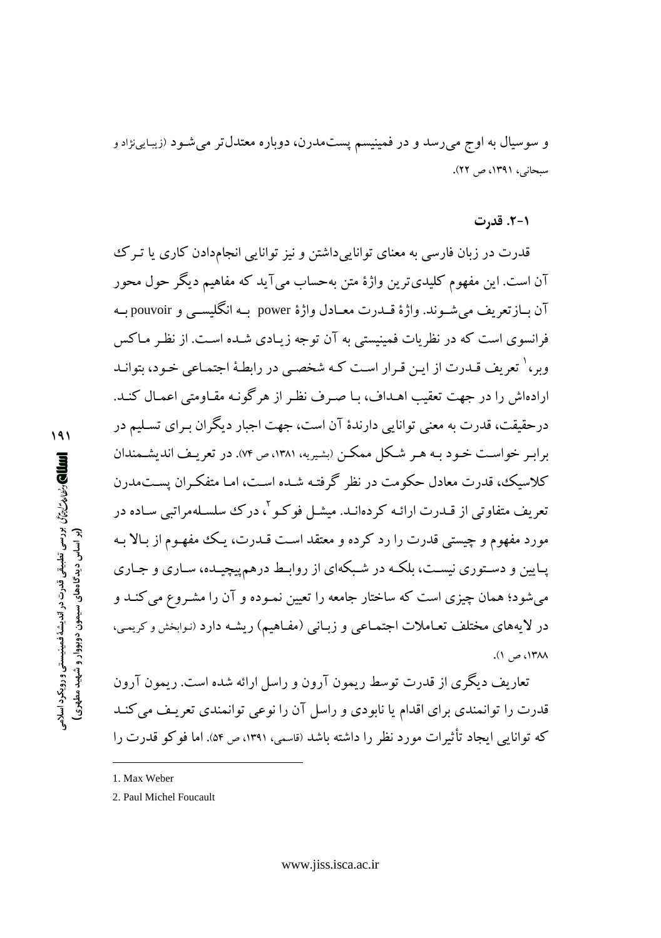و سوسیال به اوج میرسد و در فمینیسم پستمدرن، دوباره معتدلتر میشود (زیبایینژادو سبحانی، ۱۳۹۱، ص ۲۲).

### ۰۱-۲. قدرت

قدرت در زبان فارسی به معنای توانایی داشتن و نیز توانایی انجامدادن کاری یا تیرک آن است. این مفهوم کلیدیترین واژهٔ متن بهحساب میآید که مفاهیم دیگر حول محور آن بــازتعريف مي شــوند. واژهٔ قــدرت معــادل واژهٔ power بــه انگليســي و pouvoir بــه فرانسوی است که در نظریات فمینیستی به آن توجه زیبادی شبده است. از نظر مباکس وبر، <sup>۱</sup> تعریف قیدرت از این قبرار است کیه شخصبی در رابطیهٔ اجتمیاعی خبود، بتوانید ارادهاش را در جهت تعقب اهـداف، بـا صـرف نظـر از هر گونـه مقـاومتی اعمـال كنـد. درحقیقت، قدرت به معنی توانایی دارندهٔ آن است، جهت اجبار دیگران بـرای تسـلیم در برابـر خواسـت خـود بـه هـر شـكل ممكـن (بشـيريه، ١٣٨١، ص ٧۴). در تعريـف انديشـمندان کلاسیک، قدرت معادل حکومت در نظر گرفتـه شـده اسـت، امـا متفکـران بسـتمدرن تعریف متفاوتی از قبدرت ارائیه کردهانید. میشیل فو کیو <sup>۲</sup>، در ک<sup>ی</sup> سلسیلهمراتبی سیاده در مورد مفهوم و چستی قدرت را رد کرده و معتقد است قبدرت، ییک مفهوم از بالا به پـايين و دسـتوري نيسـت، بلكـه در شـبكهاي از روابـط درهم پيچيـده، سـاري و جـاري می شود؛ همان چیزی است که ساختار جامعه را تعیین نمـوده و آن را مشـروع می کنـد و در لایههای مختلف تعـاملات اجتمـاعی و زبـانی (مفـاهیم) ریشـه دارد (نـوابخش و کریمی، ١٣٨٨، ص ١).

تعاریف دیگری از قدرت توسط ریمون آرون و راسل ارائه شده است. ریمون آرون قدرت را توانمندی برای اقدام یا نابودی و راسل آن را نوعی توانمندی تعریـف می کنـد که توانایی ایجاد تأثیرات مورد نظر را داشته باشد (قاسبی، ۱۳۹۱، ص ۵۴). اما فو کو قدرت را

 $191$ اللهالي رئها مرّارة ورسى تطبيقي قدرت در انديشة فمينيستي و رويكرد اسلامي (بر اساس دیدگاههای سیمون دوبووار و شهید مطهری)

<sup>1.</sup> Max Weber

<sup>2.</sup> Paul Michel Foucault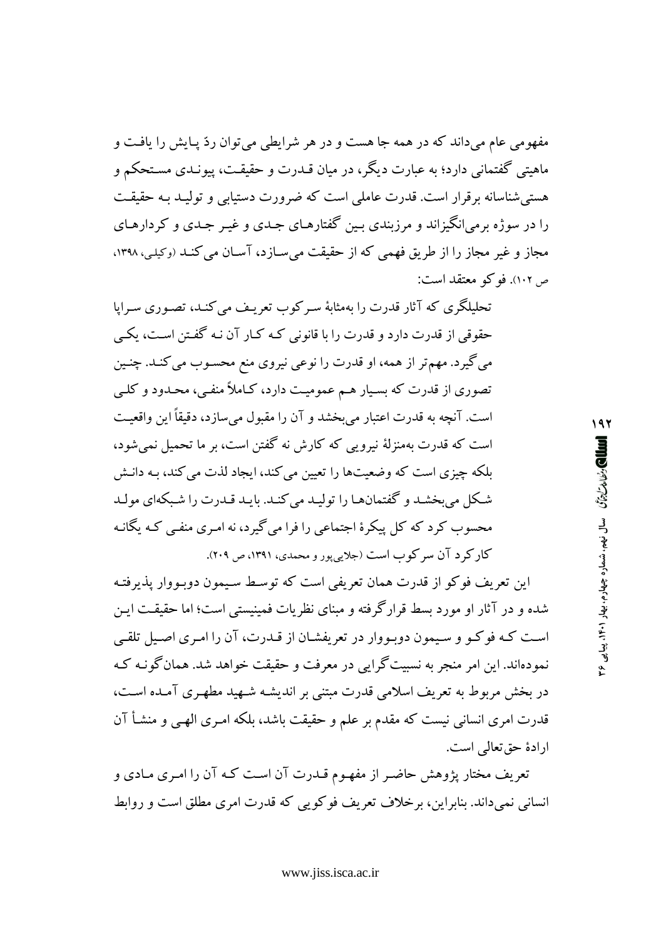مفهومی عام میداند که در همه جا هست و در هر شرایطی می توان ردّ پیایش را یافت و ماهيتي گفتماني دارد؛ به عبارت ديگر، در ميان قــدرت و حقيقــت، پيونــدي مسـتحكم و هستی شناسانه برقرار است. قدرت عاملی است که ضرورت دستیابی و تولیـد بـه حقیقـت را در سوژه برمی انگیزاند و مرزبندی پین گفتارهای جیدی و غیر جیدی و کردارهای مجاز و غیر مجاز را از طریق فهمی که از حقیقت می سـازد، آسـان می کنـد (وکیلی، ۱۳۹۸، ص ١٠٢). فوكو معتقد است:

تحلیلگری که آثار قدرت را بهمثابهٔ سرکوب تعریف می کنـد، تصـوری سـراپا حقوقی از قدرت دارد و قدرت را با قانونی کـه کـار آن نـه گفـتن اسـت، یکـی می گیرد. مهمتر از همه، او قدرت را نوعی نیروی منع محسـوب می کنـد. چنـین تصوری از قدرت که بسـیار هـم عمومیـت دارد، کـاملاً منفـی، محـدود و کلــی است. آنچه به قدرت اعتبار می بخشد و آن را مقبول میسازد، دقیقاً این واقعیت است که قدرت بهمنزلهٔ نیرویی که کارش نه گفتن است، بر ما تحمیل نمی شود، بلکه چیزی است که وضعیتها را تعیین می کند، ایجاد لذت می کند، بـه دانـش شکل می بخشد و گفتمانها را تولیـد می کنـد. بایـد قـدرت را شـبکهای مولـد محسوب کرد که کل پیکرهٔ اجتماعی را فرا می گیرد، نه امـری منفـی کـه یگانـه کارکر د آن سرکوب است (جلاییپور و محمدی، ۱۳۹۱، ص ۲۰۹).

این تعریف فوکو از قدرت همان تعریفی است که توسط سیمون دوبـووار پذیرفتـه شده و در آثار او مورد بسط قرارگرفته و مبنای نظریات فمینیستی است؛ اما حقیقت این است کـه فوکـو و سـيمون دوبـووار در تعريفشـان از قـدرت، آن را امـرى اصـيل تلقـي نمودهاند. این امر منجر به نسبیتگرایی در معرفت و حقیقت خواهد شد. همان گونـه کـه در بخش مربوط به تعریف اسلامی قدرت مبتنی بر اندیشـه شـهید مطهـری آمـده اسـت، قدرت امری انسانی نیست که مقدم بر علم و حقیقت باشد، بلکه امـری الهـی و منشـأ آن ارادهٔ حق تعالی است.

تعریف مختار پژوهش حاضـر از مفهـوم قـدرت آن اسـت کـه آن را امـری مـادی و انسانی نمی داند. بنابراین، برخلاف تعریف فوکویی که قدرت امری مطلق است و روابط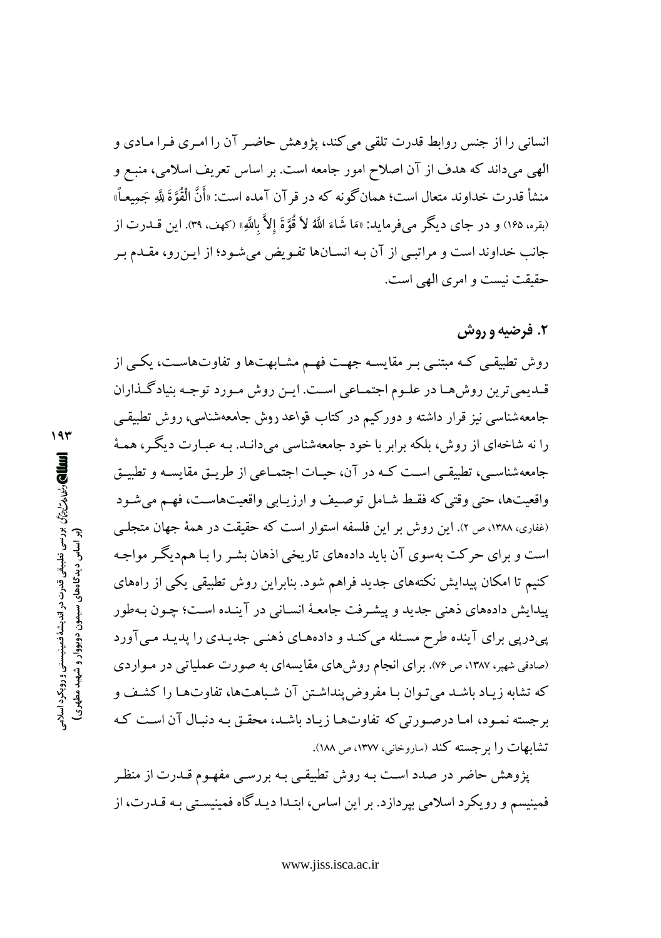انسانی را از جنس روابط قدرت تلقی می کند، پژوهش حاضر آن را امری فرا مـادی و الهي ميداند كه هدف از آن اصلاح امور جامعه است. بر اساس تعريف اسلامي، منبـع و منشأ قدرت خداوند متعال است؛ همان گونه که در قر آن آمده است: «أَنَّ الْقُوَّةَ لِلَّهِ جَمِيعـاً» (بقره، ۱۶۵) و در جاي ديگر مي فرمايد: «مَا شَاءَ اللَّهُ لاَ قُوَّةَ إلاَّ بِاللَّهِ» (كهف، ۳۹). اين قـــدرت از جانب خداوند است و مراتبی از آن بـه انسـانها تفـویض میشـود؛ از ایـنِ رو، مقـدم بـر حقيقت نيست و امري الهي است.

## ۲. فرضیه و روش

روش تطبیقی کـه مبتنـی بـر مقایسـه جهـت فهـم مشـابهت۱ه و تفاوت۱هاسـت، یکـی از قـدیمیترین روش،هـا در علـوم اجتمـاعی اسـت. ایـن روش مـورد توجـه بنیادگـذاران جامعهشناسی نیز قرار داشته و دورکیم در کتاب قواعد روش جامعهشناسی، روش تطبیقـی را نه شاخهای از روش، بلکه برابر با خود جامعهشناسی میدانـد. بـه عبــارت دیگــر، همــهٔ جامعهشناسـي، تطبيقـي اسـت كـه در آن، حيـات اجتمـاعي از طريـق مقايسـه و تطبيـق واقعیتها، حتی وقتی که فقط شـامل توصـیف و ارزیـابی واقعیتهاسـت، فهـم می شـود (غفاری، ۱۳۸۸، ص ۲). این روش بر این فلسفه استوار است که حقیقت در همهٔ جهان متجلبی است و برای حرکت بهسوی آن باید دادههای تاریخی اذهان بشـر را بـا هم‹دیگـر مواجـه کنیم تا امکان پیدایش نکتههای جدید فراهم شود. بنابراین روش تطبیقی یکی از راههای پیدایش دادههای ذهنی جدید و پیشرفت جامعـهٔ انسـانی در آینـده اسـت؛ چـون بـهطور پیدرپی برای آینده طرح مسئله می کنـد و دادههـای ذهنـی جدیـدی را پدیـد مـی آورد (صادقی شهبر، ۱۳۸۷، ص ۷۶). برای انجام روش۵های مقایسهای به صورت عملیاتی در مـواردی كه تشابه زيـاد باشـد مي تـوان بـا مفروض ينداشـتن آن شـباهتها، تفاوتهـا را كشـف و برجسته نمـود، امـا درصـورتي كه تفاوتهـا زيـاد باشـد، محقـق بـه دنبـال آن اسـت كـه تشابهات را برجسته كند (ساروخاني، ١٣٧٧، ص ١٨٨).

یژوهش حاضر در صدد است بـه روش تطبیقـی بـه بررسـی مفهـوم قـدرت از منظـر فمینیسم و رویکرد اسلامی بپردازد. بر این اساس، ابتـدا دیـدگاه فمینیسـتی بـه قــدرت، از

 $19r$ الله المحارث المالم المرام أن محمد المستقى قدرت در انديشة فمينيستى و رويكرد اسلامى المحمد (بر اساس دیدگاههای سیمون دوبووار و شهید مطهری)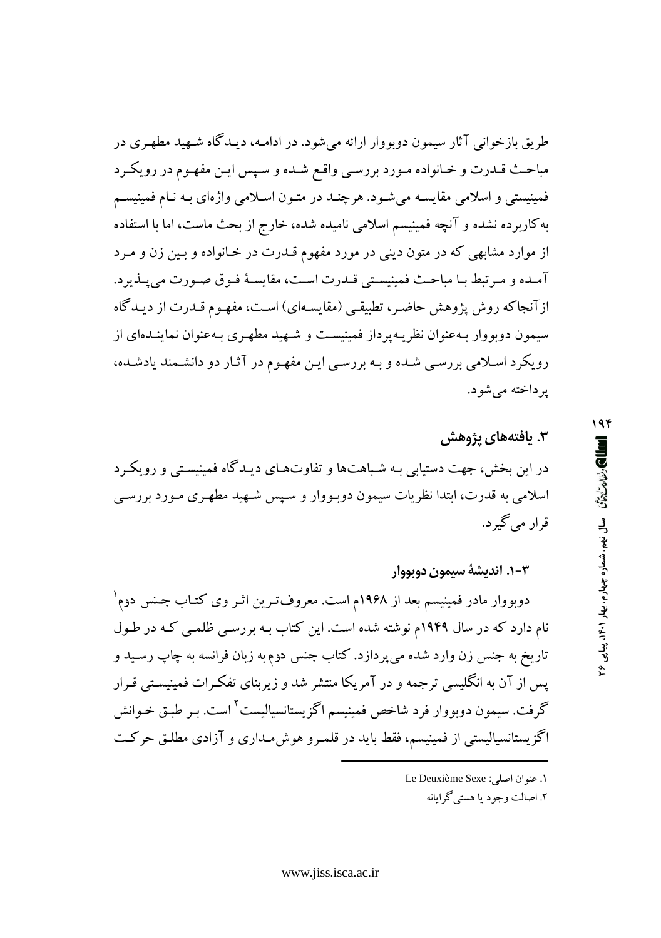طریق بازخوانی آثار سیمون دوبووار ارائه می شود. در ادامـه، دیـدگاه شـهید مطهـری در مباحث قـدرت و خـانواده مـورد بررسـي واقـع شـده و سـپس ايـن مفهـوم در رويكـرد فمینیستی و اسلامی مقایسـه میشـود. هرچنـد در متـون اسـلامی واژهای بـه نـام فمینیسـم به کاربرده نشده و آنچه فمینیسم اسلامی نامیده شده، خارج از بحث ماست، اما با استفاده از موارد مشابهی که در متون دینی در مورد مفهوم قـدرت در خـانواده و بـین زن و مـرد آمـده و مـرتبط بـا مباحـث فمينيسـتـي قـدرت اسـت، مقايسـهٔ فـوق صـورت مى يـذيرد. از آنجاکه روش پژوهش حاضر، تطبیقی (مقایسهای) است، مفهـوم قـدرت از دیـدگاه سیمون دوبووار بـهعنوان نظریـهپرداز فمینیسـت و شـهید مطهـری بـهعنوان نماینـدهای از رویکرد اسلامی بررسی شده و بـه بررسـی ایـن مفهـوم در آثـار دو دانشـمند یادشـده، ير داخته مي شود.

# ۳. بافتههای پژوهش در این بخش، جهت دستیابی بـه شـباهتها و تفاوتهـای دیـدگاه فمینیسـتی و رویکـرد اسلامی به قدرت، ابتدا نظریات سیمون دوبـووار و سـپس شـهید مطهـری مـورد بررسـی قرار مي گير د.

٣–١. اندىشەُ سىمون دوپووار

دوبووار مادر فمینیسم بعد از ۱۹۶۸م است. معروفترین اثـر وی کتـاب جـنس دوم` نام دارد که در سال ۱۹۴۹م نوشته شده است. این کتاب بـه بررسـی ظلمـی کـه در طـول تاريخ به جنس زن وارد شده مي پردازد. كتاب جنس دوم به زبان فرانسه به چاپ رسـيد و یس از آن به انگلیسی ترجمه و در آمریکا منتشر شد و زیربنای تفکرات فمینیستی قـرار گرفت. سیمون دوبووار فرد شاخص فمینیسم اگزیستانسیالیست<sup>۲</sup> است. بـر طبـق خـوانش اگزیستانسپالیستی از فمینیسم، فقط باید در قلمـرو هوش.سداری و آزادی مطلـق حرکـت

ا. عنوان اصلي: Le Deuxième Sexe ٢. اصالت وجود يا هستي گرايانه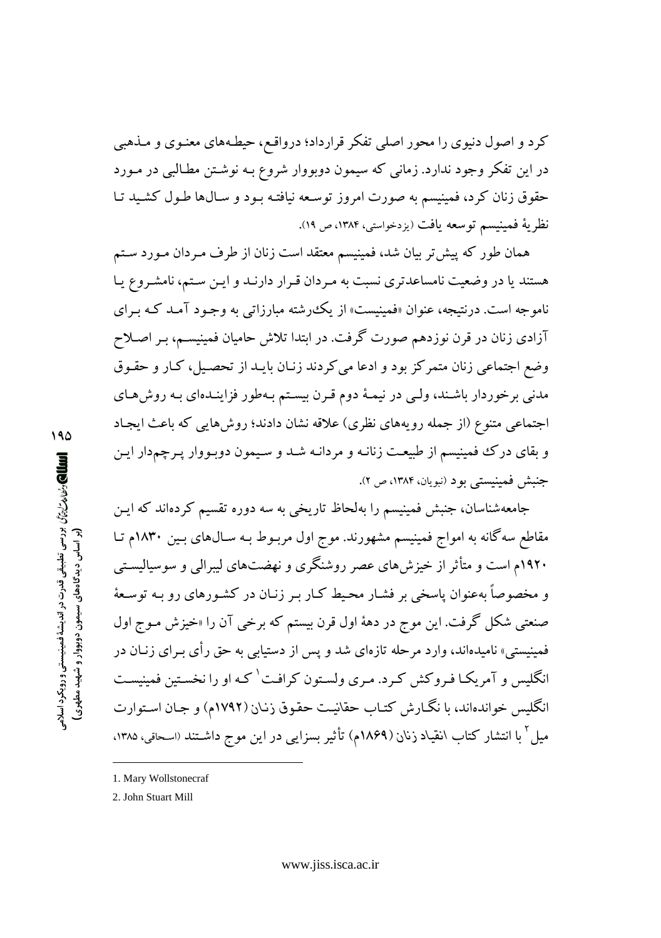کر د و اصول دنیوی را محور اصلی تفکر قرارداد؛ درواقـع، حیطـههای معنـوی و مـذهبی در این تفکر وجود ندارد. زمانی که سیمون دوبووار شروع بـه نوشـتن مطـالبی در مـورد حقوق زنان کرد، فمینیسم به صورت امروز توسعه نیافتـه بـود و سـالها طـول کشـید تـا نظرية فمينيسم توسعه يافت (يزدخواستي، ١٣٨۴، ص ١٩).

همان طور که پیش تر بیان شد، فمینیسم معتقد است زنان از طرف مـردان مـورد سـتم هستند یا در وضعیت نامساعدتری نسبت به مردان قـرار دارنـد و ایـن سـتم، نامشـروع یـا ناموجه است. درنتیجه، عنوان «فمینیست» از یک رشته مبارزاتی به وجـود آمـد کـه بـرای آزادی زنان در قرن نوزدهم صورت گرفت. در ابتدا تلاش حامیان فمینیسـم، بـر اصـلاح وضع اجتماعي زنان متمركز بود و ادعا مي كردند زنـان بايـد از تحصـيل، كـار و حقـوق مدنی برخوردار باشـند، ولـی در نیمـهٔ دوم قـرن بیسـتم بـهطور فزاینـدهای بـه روش هـای اجتماعی متنوع (از جمله رویههای نظری) علاقه نشان دادند؛ روشهایی که باعث ایجاد و بقای درک فمینیسم از طبیعت زنانـه و مردانـه شــد و سـیمون دوبـووار پـرچمدار ایـن جنبش فمينيستي بود (نبويان، ١٣٨۴، ص ٢).

جامعهشناسان، جنبش فمینیسم را بهلحاظ تاریخی به سه دوره تقسیم کردهاند که ایـن مقاطع سه گانه به امواج فمینیسم مشهورند. موج اول مربـوط بـه سـال&ای بـین ۱۸۳۰م تـا ۱۹۲۰م است و متأثر از خیزشهای عصر روشنگری و نهضتهای لیبرالی و سوسیالیستی و مخصوصاً بهعنوان پاسخی بر فشـار محـیط کـار بـر زنـان در کشـورهای رو بـه توسـعهٔ صنعتي شکل گرفت. اين موج در دههٔ اول قرن بيستم که برخي آن را «خيزش مـوج اول فمینیستی» نامیدهاند، وارد مرحله تازهای شد و پس از دستیابی به حق رأی بـرای زنــان در انگلیس و آمریکـا فـروکش کـرد. مـری ولسـتون کرافـت' کـه او را نخسـتین فمینیسـت انگلیس خواندهاند، با نگـارش کتـاب حقانیـت حقـوق زنـان (١٧٩٢م) و جـان اسـتوارت میل ٔ با انتشار کتاب انقیاد زنان (۱۸۶۹م) تأثیر بسزایی در این موج داشـتند «سـحاقی، ۱۳۸۵،

<sup>1.</sup> Mary Wollstonecraf

<sup>2.</sup> John Stuart Mill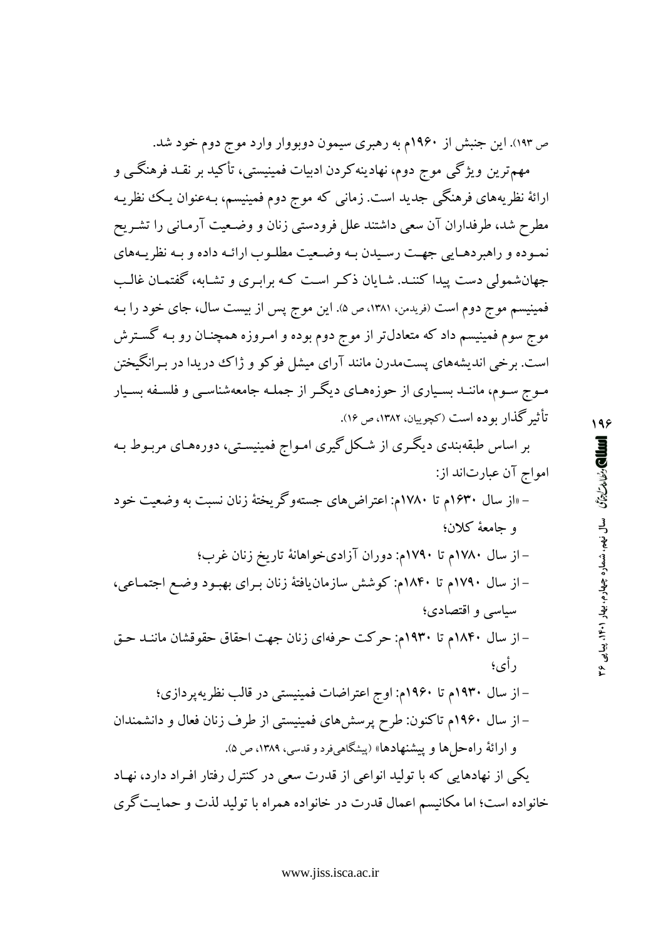ص ۱۹۳). این جنبش از ۱۹۶۰م به رهبری سیمون دوبووار وارد موج دوم خود شد.

مهمترین ویژگی موج دوم، نهادینه کردن ادبیات فمینیستی، تأکید بر نقـد فرهنگـی و ارائهٔ نظریههای فرهنگی جدید است. زمانی که موج دوم فمینیسم، بـهعنوان یـک نظریـه مطرح شد، طرفداران آن سعی داشتند علل فرودستی زنان و وضـعیت آرمـانی را تشـریح نمـوده و راهبردهـايي جهـت رسـيدن بـه وضـعيت مطلـوب ارائـه داده و بـه نظريـههاي جهانشمولی دست پیدا کننـد. شـایان ذکـر اسـت کـه برابـری و تشـابه، گفتمـان غالـب فمینیسم موج دوم است (فریدمن، ۱۳۸۱، ص ۵). این موج پس از بیست سال، جای خود را بـه موج سوم فمینیسم داد که متعادل تر از موج دوم بوده و امـروزه همچنــان رو بـه گســترش است. برخی اندیشههای پستمدرن مانند آرای میشل فوکو و ژاک دریدا در بـرانگیختن مـوج سـوم، ماننـد بسـیاری از حوزههـای دیگـر از جملـه جامعهشناسـی و فلسـفه بسـیار تأثير گذار بو ده است (کچوييان، ١٣٨٢، ص ١٤).

بر اساس طبقهبندی دیگری از شکل گیری امـواج فمینیسـتی، دورههـای مربـوط بـه امواج آن عبارتاند از:

– «از سال ۱۶۳۰م تا ۱۷۸۰م: اعتراضهای جستهوگریختهٔ زنان نسبت به وضعیت خود و حامعهٔ کلان؛

– از سال ۱۷۸۰م تا ۱۷۹۰م: دوران آزادیخواهانهٔ تاریخ زنان غرب؛ – از سال ۱۷۹۰م تا ۱۸۴۰م: کوشش سازمان یافتهٔ زنان بـرای بهبـود وضـع اجتمـاعی، سیاسی و اقتصادی؛ – از سال ۱۸۴۰م تا ۱۹۳۰م: حرکت حرفهای زنان جهت احقاق حقوقشان ماننـد حـق د أي؛ – از سال ۱۹۳۰م تا ۱۹۶۰م: اوج اعتراضات فمینیستی در قالب نظریه یر دازی؛

– از سال ۱۹۶۰م تاکنون: طرح پرسشهای فمینیستی از طرف زنان فعال و دانشمندان و ارائهٔ راه حل ها و پیشنهادها» (پیشگاهیفرد و قدسی، ۱۳۸۹، ص ۵).

یکی از نهادهایی که با تولید انواعی از قدرت سعی در کنترل رفتار افـراد دارد، نهـاد خانواده است؛ اما مکانیسم اعمال قدرت در خانواده همراه با تولید لذت و حمایت گری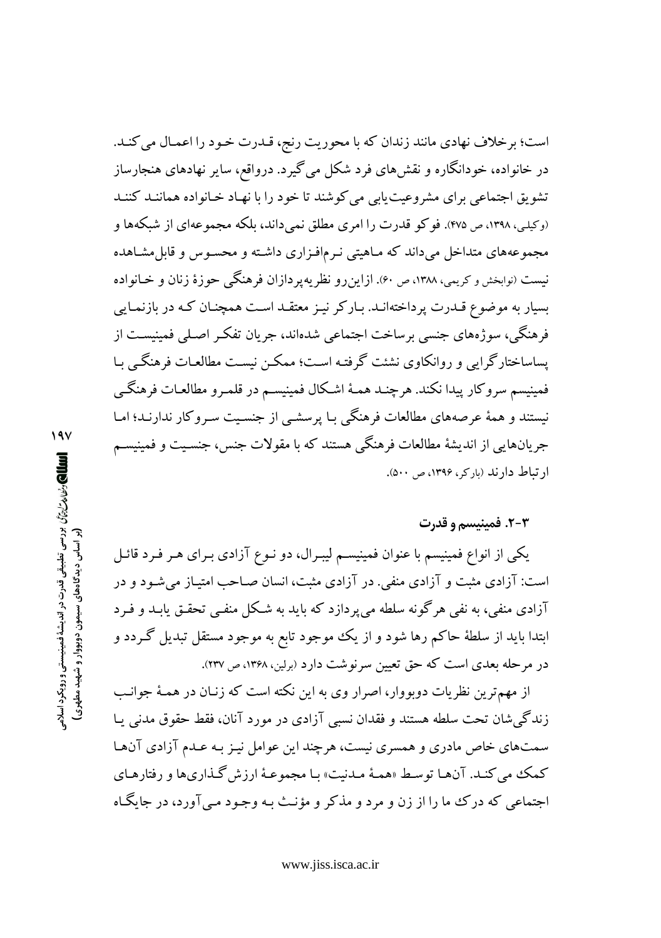است؛ برخلاف نهادي مانند زندان كه با محوريت رنج، قـدرت خـود را اعمـال مي كنـد. در خانواده، خودانگاره و نقش های فرد شکل می گیرد. درواقع، سایر نهادهای هنجارساز تشویق اجتماعی برای مشروعیت پابی می کوشند تا خود را با نهـاد خـانواده هماننـد کننـد (وکیلی، ۱۳۹۸، ص ۴۷۵). فو کو قدرت را امری مطلق نمی داند، بلکه مجموعهای از شبکهها و مجموعههای متداخل میداند که مـاهیتی نـرمافـزاری داشـته و محسـوس و قابل مشـاهده نیست (نوابخش و کریمی، ۱۳۸۸، ص ۶۰). ازاین رو نظر یه پر دازان فر هنگی حوزهٔ زنان و خـانواده بسیار به موضوع قـدرت پرداختهانـد. بـاركر نيـز معتقـد اسـت همچنـان كـه در بازنمـايي فرهنگی، سوژههای جنسی برساخت اجتماعی شدهاند، جریان تفکر اصـلی فمینیسـت از یساساختارگرایی و روانکاوی نشئت گرفته است؛ ممکن نیست مطالعـات فرهنگـی بـا فمينيسم سروكار ييدا نكند. هرچنـد همـهٔ اشـكال فمينيسـم در قلمـرو مطالعـات فرهنگـي نیستند و همهٔ عرصههای مطالعات فرهنگی بـا پرسشـی از جنسـیت سـروکار ندارنـد؛ امـا جريانهايي از انديشهٔ مطالعات فرهنگي هستند که با مقولات جنس، جنسـيت و فمينيسـم ارتباط دارند (باركر، ١٣٩۶، ص ٥٠٠).

### ۲-۲. فمینیسم و قدرت

یکی از انواع فمینیسم با عنوان فمینیسـم لیبـرال، دو نـوع آزادی بـرای هـر فـرد قائـل است: آزادی مثبت و آزادی منفی. در آزادی مثبت، انسان صـاحب امتیـاز می شـود و در آزادي منفي، به نفي هرگونه سلطه مي پردازد كه بايد به شكل منفـي تحقـق يابـد و فـرد ابتدا باید از سلطهٔ حاکم رها شود و از یک موجود تابع به موجود مستقل تبدیل گردد و در مرحله بعدی است که حق تعیین سرنوشت دارد (برلین، ۱۳۶۸، ص ۲۳۷).

از مهمترین نظریات دوبووار، اصرار وی به این نکته است که زنـان در همـهٔ جوانـب زندگی شان تحت سلطه هستند و فقدان نسبی آزادی در مورد آنان، فقط حقوق مدنی پـا سمتهای خاص مادری و همسری نیست، هرچند این عوامل نیـز بـه عـدم آزادی آنهـا کمک می کنـد. آنهـا توسـط «همـهٔ مـدنیت» بـا مجموعـهٔ ارزش گـذاریها و رفتارهـای اجتماعي كه درك ما را از زن و مرد و مذكر و مؤنث بـه وجـود مـي آورد، در جايگــاه

www.jiss.isca.ac.ir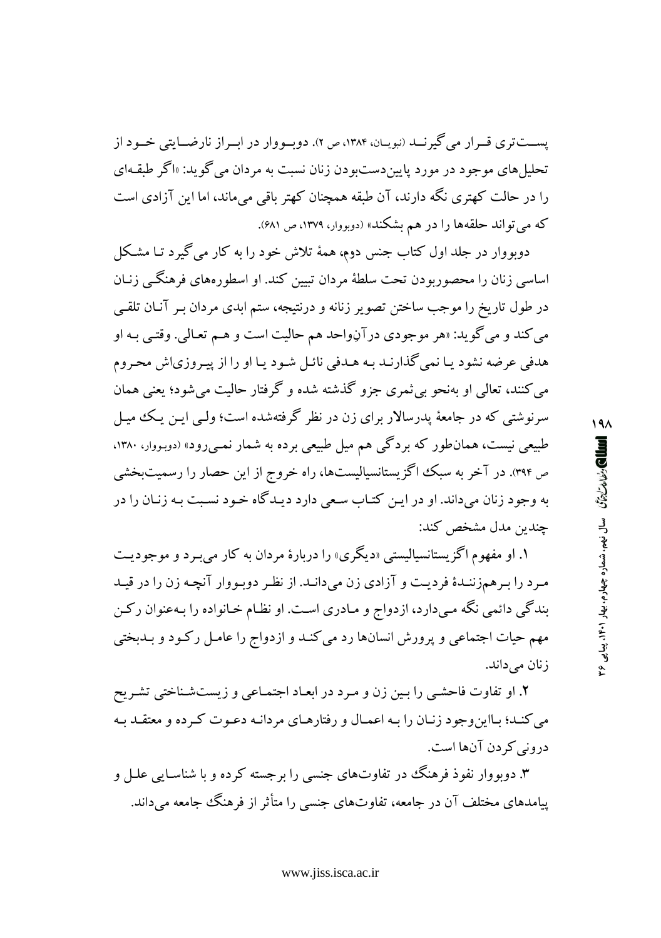یســتتری قــرار می گیرنــد (نبویــان، ۱۳۸۴، ص ۲). دوبــووار در ابــراز نارضـــایتی خــود از تحليل هاي موجود در مورد پايين دست ودن زنان نسبت به مردان مي گويد: «اگر طبقـهاي را در حالت کهتری نگه دارند، آن طبقه همچنان کهتر باقی میماند، اما این آزادی است که می تواند حلقهها را در هم بشکند» (دوبووار، ۱۳۷۹، ص ۶۸۱).

دوبووار در جلد اول کتاب جنس دوم، همهٔ تلاش خود را به کار می گیرد تـا مشـکل اساسی زنان را محصوربودن تحت سلطهٔ مردان تبیین کند. او اسطورههای فرهنگی زنـان در طول تاریخ را موجب ساختن تصویر زنانه و درنتیجه، ستم ابدی مردان بـر آنـان تلقـی مي کند و مي گويد: «هر موجودي در آڼواحد هم حاليت است و هـم تعـالي. وقتـي بـه او هدفی عرضه نشود یـا نمی گذارنـد بـه هـدفی نائـل شـود یـا او را از پیـروزی|ش محـروم مي کنند، تعالي او بهنحو بي ثمري جزو گذشته شده و گرفتار حاليت مي شود؛ يعني همان سرنوشتی که در جامعهٔ پدرسالار برای زن در نظر گرفتهشده است؛ ولـی ایـن یـک میـل طبیعی نیست، همانطور که بردگی هم میل طبیعی برده به شمار نمبی رود» (دوبووار، ۱۳۸۰، ص ۳۹۴). در آخر به سبک اگزیستانسیالیستها، راه خروج از این حصار را رسمیتبخشی به وجود زنان میداند. او در این کتـاب سـعی دارد دیـدگاه خـود نسـبت بـه زنـان را در چندين مدل مشخص كند:

۱. او مفهوم اگز پستانسیالیستی «دیگری» را دربارهٔ مردان به کار می بـرد و موجودیـت مرد را برهمزننـدهٔ فرديـت و آزادي زن ميدانـد. از نظـر دوبـووار آنچـه زن را در قيـد بندگی دائمی نگه میدارد، ازدواج و مـادری اسـت. او نظـام خـانواده را بـهعنوان رکـن مهم حیات اجتماعی و پرورش انسانها رد می کنـد و ازدواج را عامـل رکـود و بـدبختی زنان می داند.

۲. او تفاوت فاحشبي را بين زن و مرد در ابعـاد اجتمـاعي و زيستشـناختي تشـريح می کنـد؛ بـااینوجود زنـان را بـه اعمـال و رفتارهـای مردانـه دعـوت کـرده و معتقـد بـه درونی کر دن آنها است.

۳. دوبووار نفوذ فرهنگ در تفاوتهای جنسی را برجسته کرده و با شناسـایی علــل و پیامدهای مختلف آن در جامعه، تفاوتهای جنسی را متأثر از فرهنگ جامعه می داند.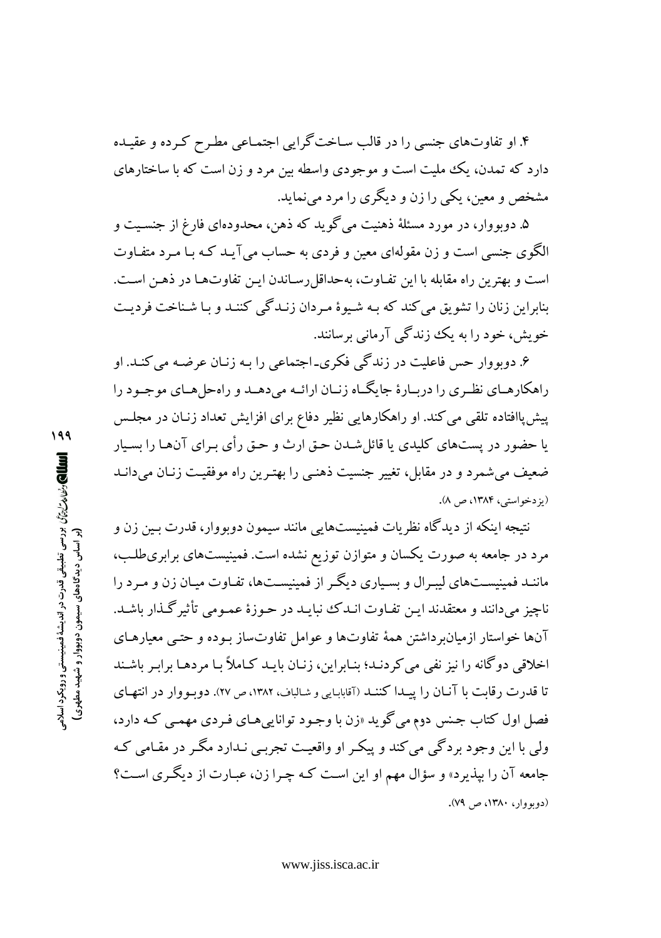۴. او تفاوتهای جنسی را در قالب سـاخت گرایی اجتمـاعی مطـرح کـرده و عقیـده دارد که تمدن، یک ملیت است و موجودی واسطه بین مرد و زن است که با ساختارهای مشخص و معین، یکی را زن و دیگری را مرد می نماید.

۵. دوبووار، در مورد مسئلهٔ ذهنیت می گوید که ذهن، محدودهای فارغ از جنسـیت و الگوی جنسی است و زن مقولهای معین و فردی به حساب می آیـد کـه بـا مـرد متفـاوت است و بهترین راه مقابله با این تفـاوت، بهحداقل رسـاندن ایـن تفاوتهـا در ذهـن اسـت. بنابراین زنان را تشویق می کند که بـه شـیوهٔ مـردان زنـدگی کننـد و بـا شـناخت فرديـت خویش، خود را به یک زندگی آرمانی برسانند.

۶. دوبووار حس فاعلیت در زندگی فکری۔اجتماعی را بـه زنـان عرضـه می کنـد. او راهکارهـاي نظـري را دربـارهٔ جايگـاه زنـان ارائـه مي دهــد و راهحل هـاي موجـود را پیشپاافتاده تلقی می کند. او راهکارهایی نظیر دفاع برای افزایش تعداد زنـان در مجلـس یا حضور در پستهای کلیدی یا قائل شـدن حـق ارث و حـق رأی بـرای آنهـا را بسـیار ضعیف میشمرد و در مقابل، تغییر جنسیت ذهنـی را بهتـرین راه موفقیـت زنـان میدانـد (يز دخواستي، ١٣٨۴، ص ٨).

نتیجه اینکه از دیدگاه نظریات فمینیستهایی مانند سیمون دوبووار، قدرت بـین زن و مرد در جامعه به صورت یکسان و متوازن توزیع نشده است. فمینیستهای برابریطلب، ماننـد فمینیسـتهای لیبـرال و بسـیاری دیگـر از فمینیسـتها، تفـاوت میـان زن و مـرد را ناچيز مي دانند و معتقدند اين تفـاوت انـدک نبايـد در حـوزهٔ عمـومي تأثير گـذار باشـد. آنها خواستار ازمیانبر داشتن همهٔ تفاوتها و عوامل تفاوتساز بـوده و حتـبی معیارهـای اخلاقی دوگانه را نیز نفی می کردنـد؛ بنـابراین، زنـان بایـد کـاملاً بـا مردهـا برابـر باشـند تا قدرت رقابت با آنـان را پيـدا كننـد (آقابابـايي و شـالباف، ١٣٨٢، ص ٢٧). دويـو وار در انتهـاي فصل اول کتاب جنس دوم مي گويد «زن با وجـود توانايي هـاي فـردي مهمـي کـه دارد، ولي با اين وجود بردگي مي کند و پيکـر او واقعيـت تجربـي نـدارد مگـر در مقـامي کـه جامعه آن را بیذیرد» و سؤال مهم او این است کـه چـرا زن، عبـارت از دیگـری اسـت؟ (دوبووار، ۱۳۸۰، ص ۷۹).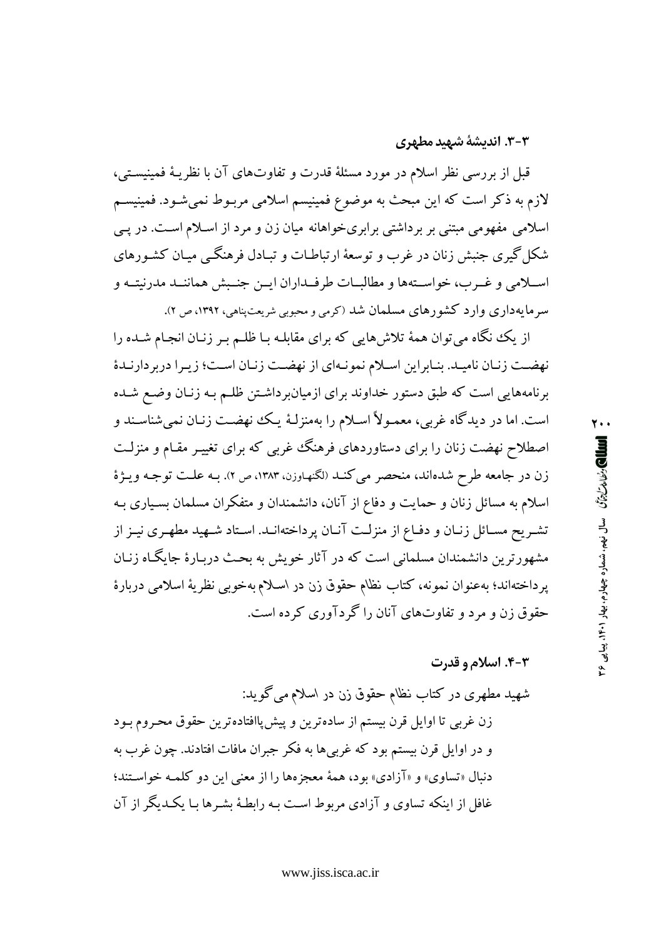### ۳-۳. اندیشهٔ شهید مطهری

قبل از بررسی نظر اسلام در مورد مسئلهٔ قدرت و تفاوتهای آن با نظریـهٔ فمینیسـتی، لازم به ذکر است که این مبحث به موضوع فمینیسم اسلامی مربـوط نمیشـود. فمینیسـم اسلامی مفهومی مبتنی بر برداشتی برابریخواهانه میان زن و مرد از اسلام است. در پی شکل گیری جنبش زنان در غرب و توسعهٔ ارتباطـات و تبـادل فرهنگــی میـان کشـورهای اسـلامي و غـرب، خواسـتهها و مطالبـات طرفـداران ايـن جنـبش هماننـد مدرنيتـه و سرمایهداری وارد کشورهای مسلمان شد (کرمی و محبوبی شریعتپناهی، ۱۳۹۲، ص ۲).

از یک نگاه میتوان همهٔ تلاشهایی که برای مقابلـه بـا ظلـم بـر زنـان انجـام شــده را نهضت زنان ناميد. بنابراين اسلام نمونهاي از نهضت زنان است؛ زيرا دربردارندهٔ برنامههایی است که طبق دستور خداوند برای ازمیانبرداشتن ظلـم بـه زنـان وضـع شـده است. اما در دیدگاه غربی، معمـولاً اسـلام را بهمنزلـهٔ یـک نهضـت زنـان نمیشناسـند و اصطلاح نهضت زنان را برای دستاوردهای فرهنگ غربی که برای تغییـر مقـام و منزلـت زن در جامعه طرح شدهاند، منحصر مي كنـد (لكنهـاوزن، ١٣٨٣، ص ٢). بـه علـت توجـه ويـژهٔ اسلام به مسائل زنان و حمایت و دفاع از آنان، دانشمندان و متفکران مسلمان بسـیاری بـه تشـريح مسـائل زنـان و دفـاع از منزلـت آنـان پرداختهانـد. اسـتاد شـهيد مطهـري نيـز از مشهورترین دانشمندان مسلمانی است که در آثار خویش به بحث دربـارهٔ جایگـاه زنـان پرداختهاند؛ بهعنوان نمونه، كتاب نظام حقوق زن در اسلام بهخوبي نظريهٔ اسلامي دربارهٔ حقوق زن و مرد و تفاوتهای آنان را گردآوری کرده است.

### **۳-۴. اسلام و قدرت**

شهید مطهری در کتاب نظام حقوق زن در اسلام می گوید: زن غربی تا اوایل قرن بیستم از سادهترین و پیش پاافتادهترین حقوق محروم بـود و در اوایل قرن بیستم بود که غربی ها به فکر جبران مافات افتادند. چون غرب به دنبال «تساوي» و «آزادي» بود، همهٔ معجز مها را از معنى اين دو كلمـه خواسـتند؛ غافل از اینکه تساوی و آزادی مربوط است بـه رابطـهٔ بشـرها بـا یکـدبگر از آن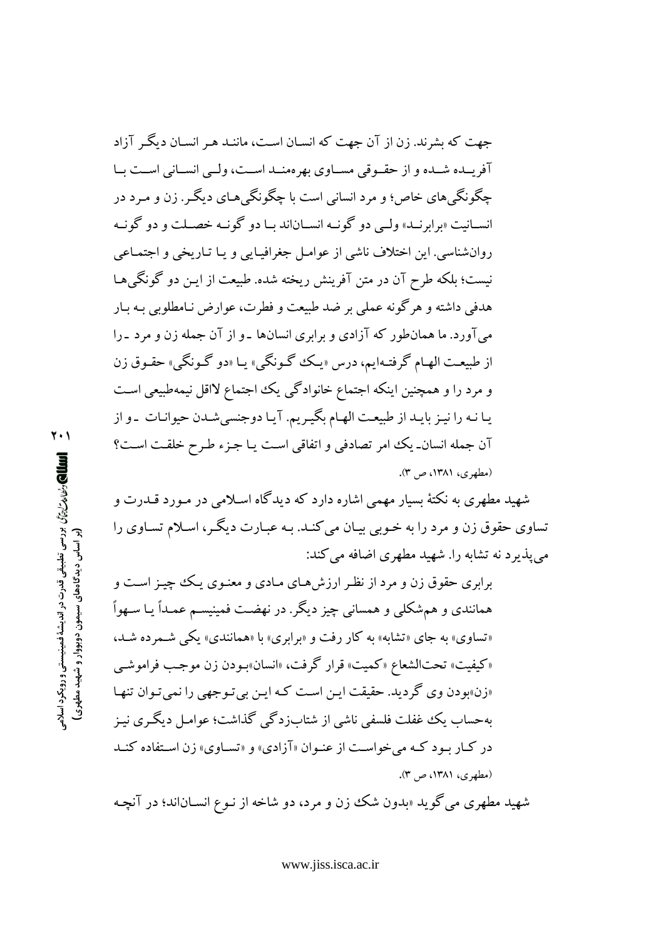جهت که بشرند. زن از آن جهت که انسـان اسـت، ماننـد هـ, انسـان دیگـ, آزاد آفریسده شبده و از حقبوقی مسباوی بهرهمنید است، ولیی انسبانی است بیا چگونگیهای خاص؛ و مرد انسانی است با چگونگی هـای دیگـر . زن و مـرد در انسپانیت «برابرنید» ولی دو گونیه انسپاناند سا دو گونیه خصیلت و دو گونیه روان شناسي. اين اختلاف ناشي از عوامـل جغرافيـايي و يـا تـاريخي و اجتمـاعي نیست؛ بلکه طرح آن در متن آفرینش ریخته شده. طبیعت از ایـن دو گونگم هـا هدفی داشته و هر گونه عملی بر ضد طبیعت و فطرت، عوارض نـامطلوبی بـه بـار میآورد. ما همان طور که آزادی و برابری انسانها ـو از آن جمله زن و مرد ـرا از طبيعت الهـام گرفتـهايم، درس «يـك گـونگي» يـا «دو گـونگي» حقـوق زن و مرد را و همچنین اینکه اجتماع خانوادگی یک اجتماع لااقل نیمهطبیعی است يـا نـه را نيـز بايـد از طبيعـت الهـام بگيـريم. آيـا دوجنسي شـدن حيوانـات بـو از آن جمله انسان\_ يك امر تصادفي و اتفاقي است يـا جـزء طـرح خلقـت اسـت؟ (مطهری، ۱۳۸۱، ص ۳).

شهید مطهری به نکتهٔ بسیار مهمی اشاره دارد که دیدگاه اسـلامی در مـورد قــدرت و تساوی حقوق زن و مرد را به خـوبی بیـان می کنـد. بـه عبـارت دیگـر، اسـلام تسـاوی را می پذیر د نه تشابه را. شهید مطهری اضافه می کند:

برابری حقوق زن و مرد از نظـر ارزشهـای مـادی و معنـوی یـک چیـز اسـت و همانندی و همشکلی و همسانی چیز دیگر. در نهضت فمینیسـم عمـداً یـا سـهواً «تساوي» به جاي «تشابه» به كار رفت و «برابري» با «همانندي» يكي شـمرده شـد، «كيفيت» تحتالشعاع «كميت» قرار گرفت، «انسان»بـودن زن موجـب فراموشـي «زن»بو دن وي گر ديد. حقيقت اين است كـه ايـن بي تـو جـهي را نمي تـوان تنهـا پهحساب یک غفلت فلسفی ناشی از شتابزدگی گذاشت؛ عوامـل دیگـری نیـز در کـار بـود کـه می خواسـت از عنـوان «آزادی» و «تسـاوی» زن اسـتفاده کنـد (مطهری، ۱۳۸۱، ص ۳).

شهید مطهری می گوید «بدون شک زن و مرد، دو شاخه از نـوع انسـاناند؛ در آنچـه

۲۰۱ الله المحارث المالم المراسي المستقى قدرت در انديشة فمينيستى و رويكرد اسلامى المسلم (بر اساس دیدگاههای سیمون دوبووار و شهید مطهری)

www.jiss.isca.ac.ir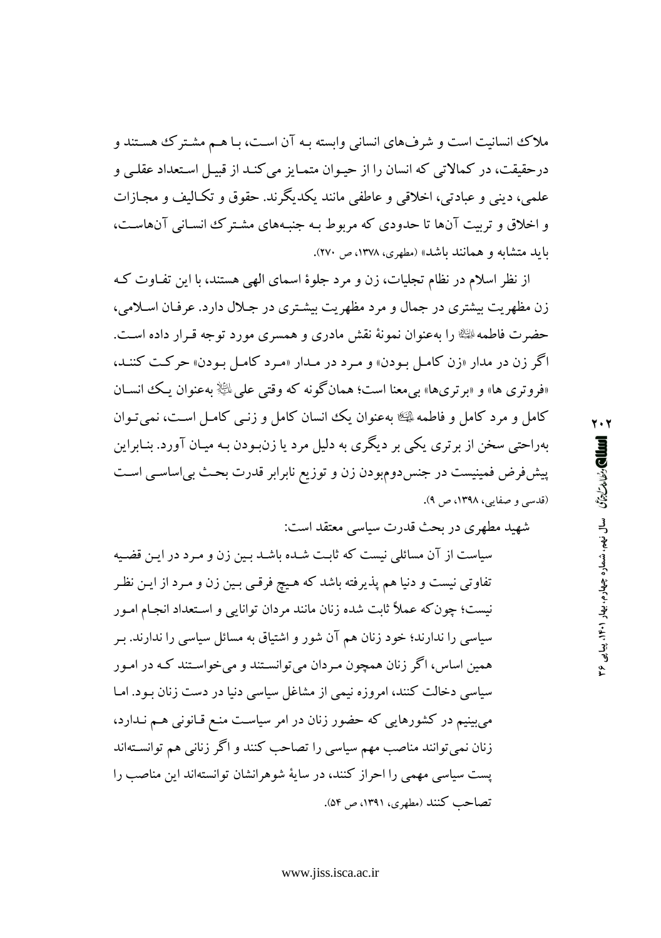ملاک انسانیت است و شرفهای انسانی وابسته بـه آن اسـت، بـا هـم مشـترک هسـتند و درحقیقت، در کمالاتی که انسان را از حیـوان متمـایز می کنـد از قبیـل اسـتعداد عقلـی و علمي، ديني و عبادتي، اخلاقي و عاطفي مانند يكديگرند. حقوق و تكـاليف و مجـازات و اخلاق و تربیت آنها تا حدودی که مربوط بـه جنبـههای مشـترک انسـانی آنهاسـت، باید متشابه و همانند باشد» (مطهری، ۱۳۷۸، ص ۲۷۰).

از نظر اسلام در نظام تجلیات، زن و مرد جلوهٔ اسمای الهی هستند، با این تفـاوت کـه زن مظهریت بیشتری در جمال و مرد مظهریت بیشتری در جلال دارد. عرفان اسلامی، حضرت فاطمه ﷺ را بهعنوان نمونهٔ نقش مادری و همسری مورد توجه قـرار داده اسـت. اگر زن در مدار «زن کامل بودن» و مرد در مـدار «مـرد کامـل بـودن» حرکـت کننـد، «فروتري ها» و «برتريها» بي معنا است؛ همان گونه كه وقتي على ﷺ بهعنوان يك انسـان كامل و مرد كامل و فاطمه ۩ني بهعنوان يك انسان كامل و زنبي كامـل اسـت، نمي تـوان بهراحتي سخن از برتري يکي بر ديگري به دليل مرد يا زن.بودن بـه ميـان آورد. بنـابراين پیش فرض فمینیست در جنس دومبودن زن و توزیع نابرابر قدرت بحث بی اساسبی است (قدسی و صفایی، ۱۳۹۸، ص ۹).

شهيد مطهري در بحث قدرت سياسي معتقد است:

سیاست از آن مسائلی نیست که ثابت شـده باشـد بـین زن و مـرد در ایـن قضـیه تفاوتی نیست و دنیا هم پذیرفته باشد که هیچ فرقبی بـین زن و مـرد از ایـن نظـر نیست؛ چون که عملاً ثابت شده زنان مانند مردان توانایی و اسـتعداد انجـام امـور سیاسی را ندارند؛ خود زنان هم آن شور و اشتیاق به مسائل سیاسی را ندارند. بـر همین اساس، اگر زنان همچون مـردان می توانسـتند و می خواسـتند کـه در امـور سیاسی دخالت کنند، امروزه نیمی از مشاغل سیاسی دنیا در دست زنان بـود. امـا می بینیم در کشورهایی که حضور زنان در امر سیاست منع قـانونی هـم نـدارد، زنان نمی توانند مناصب مهم سیاسی را تصاحب کنند و اگر زنانی هم توانسـتهاند یست سیاسی مهمی را احراز کنند، در سایهٔ شوهرانشان توانستهاند این مناصب را تصاحب كنند (مطهري، ١٣٩١، ص ٥۴).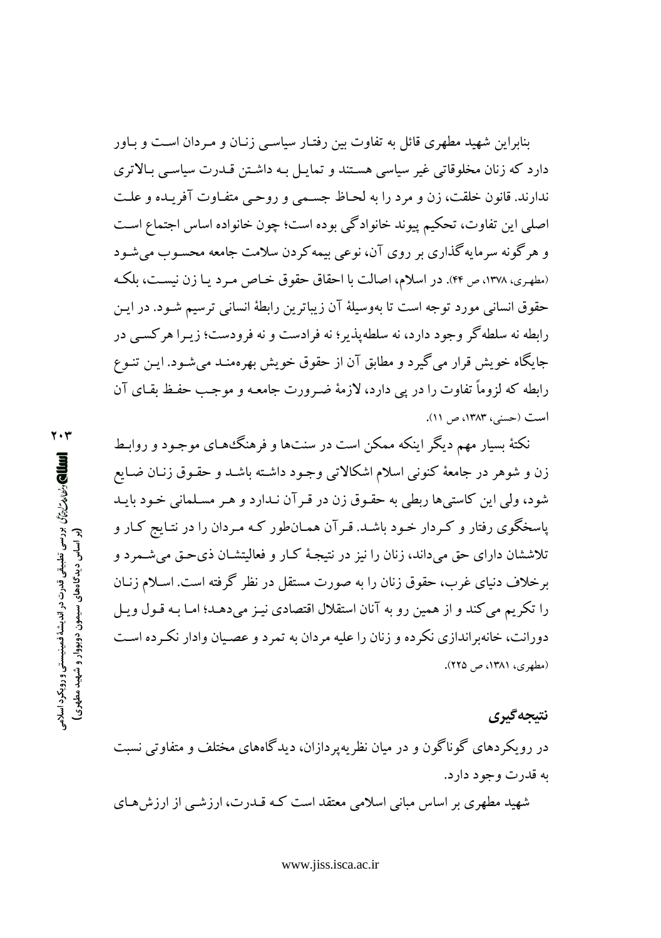بنابراین شهید مطهری قائل به تفاوت بین رفتـار سیاسـی زنـان و مـردان اسـت و بـاور دارد که زنان مخلوقاتی غیر سیاسی هستند و تمایـل بـه داشـتن قـدرت سیاسـی بـالاتری ندارند. قانون خلقت، زن و مرد را به لحـاظ جسـمی و روحـی متفـاوت آفریـده و علـت اصلي اين تفاوت، تحكيم پيوند خانوادگي بوده است؛ چون خانواده اساس اجتماع است و هر گونه سرمایه گذاری بر روی آن، نوعی بیمه کردن سلامت جامعه محسـوب می شـود (مطهري، ١٣٧٨، ص ۴۴). در اسلام، اصالت با احقاق حقوق خـاص مـرد يـا زن نيسـت، بلكـه حقوق انسانی مورد توجه است تا بهوسیلهٔ آن زیباترین رابطهٔ انسانی ترسیم شـود. در ایـن رابطه نه سلطه گر وجود دارد، نه سلطه پذیر؛ نه فرادست و نه فرودست؛ زیـرا هرکســی در جایگاه خویش قرار می گیرد و مطابق آن از حقوق خویش بهرهمنـد میشـود. ایـن تنـوع رابطه که لزوماً تفاوت را در یی دارد، لازمهٔ ضـرورت جامعـه و موجـب حفـظ بقـای آن است (حسني، ١٣٨٣، ص ١١).

نکتهٔ بسیار مهم دیگر اینکه ممکن است در سنتها و فرهنگ های موجود و روابط زن و شوهر در جامعهٔ کنونی اسلام اشکالاتی وجـود داشـته باشـد و حقـوق زنـان ضـایع شود، ولي اين كاستي ها ربطي به حقـوق زن در قـر آن نـدارد و هـر مسـلماني خـود بايـد یاسخگوی رفتار و کـردار خـود باشـد. قـرآن همـانطور کـه مـردان را در نتـایج کـار و تلاششان دارای حق می،داند، زنان را نیز در نتیجهٔ کـار و فعالیتشـان ذیحـق می،شـمرد و برخلاف دنیای غرب، حقوق زنان را به صورت مستقل در نظر گرفته است. اسـلام زنـان را تکریم می کند و از همین رو به آنان استقلال اقتصادی نیـز می دهـد؛ امـا بـه قـول ویـل دورانت، خانهبراندازی نکر ده و زنان را علیه مردان به تمرد و عصـیان وادار نکـرده اسـت (مطهري، ١٣٨١، ص ٢٢٥).

نتىحەگىرى

در رویکردهای گوناگون و در میان نظریه پردازان، دیدگاههای مختلف و متفاوتی نسبت په قدرت وجود دارد.

شهید مطهری بر اساس مبانی اسلامی معتقد است کـه قــدرت، ارزشــی از ارزش هــای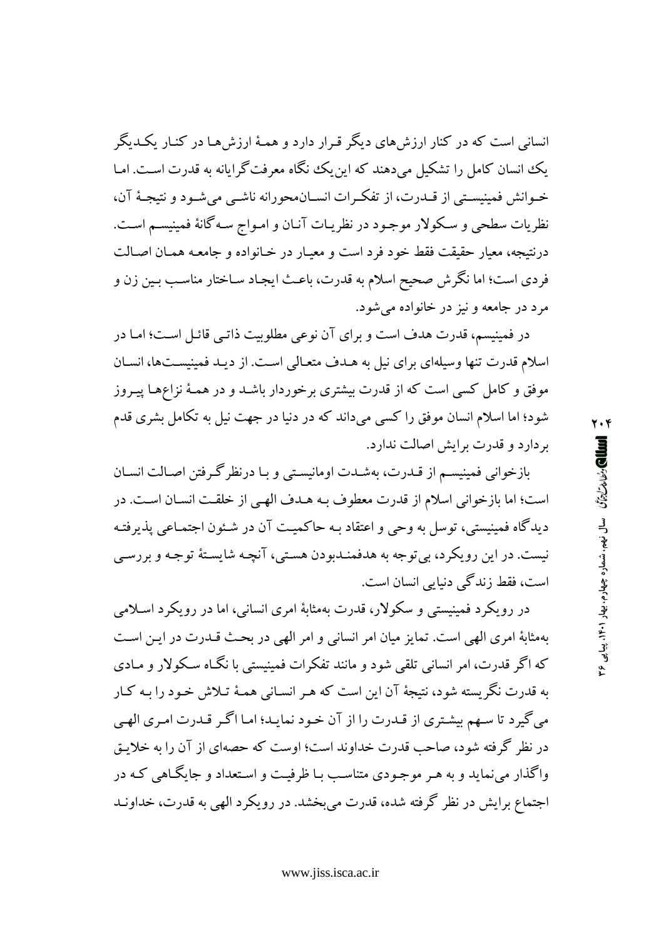انسانی است که در کنار ارزش های دیگر قـرار دارد و همـهٔ ارزش هـا در کنـار یکـدیگر یک انسان کامل را تشکیل می دهند که این یک نگاه معرفت گرایانه به قدرت است. امـا خـوانش فمينيسـتي از قــدرت، از تفكـرات انســان.محورانه ناشــي مي شــود و نتيجــهٔ آن، نظريات سطحي و سـكولار موجـود در نظريـات آنـان و امـواج سـه گانهٔ فمينيسـم اسـت. درنتیجه، معیار حقیقت فقط خود فرد است و معیـار در خـانواده و جامعـه همـان اصـالت فردي است؛ اما نگرش صحيح اسلام به قدرت، باعث ايجـاد سـاختار مناسـب بـين زن و مرد در جامعه و نیز در خانواده میشود.

در فمینیسم، قدرت هدف است و برای آن نوعی مطلوبیت ذاتـی قائـل اسـت؛ امـا در اسلام قدرت تنها وسیلهای برای نیل به هـدف متعـالی اسـت. از دیـد فمینیسـتها، انسـان موفق و کامل کسی است که از قدرت بیشتری برخوردار باشـد و در همـهٔ نزاعهـا پیـروز شود؛ اما اسلام انسان موفق را كسى مىداند كه در دنيا در جهت نيل به تكامل بشرى قدم بر دارد و قدرت برایش اصالت ندارد.

بازخوانی فمینیسم از قـدرت، بهشـدت اومانیسـتی و بـا درنظرگـرفتن اصـالت انسـان است؛ اما بازخوانی اسلام از قدرت معطوف بـه هـدف الهـی از خلقـت انسـان اسـت. در ديدگاه فمينيستي، توسل به وحي و اعتقاد بـه حاكميـت آن در شـئون اجتمـاعي يذيرفتـه نيست. در اين رويكرد، بي توجه به هدفمنـدبودن هسـتي، آنچـه شايسـتهٔ توجـه و بررسـي است، فقط زندگی دنیایی انسان است.

در رويکرد فمينيستې و سکولار، قدرت بهمثابهٔ امري انسانې، اما در رويکرد اسـلامې بهمثابهٔ امری الهی است. تمایز میان امر انسانی و امر الهی در بحث قـدرت در ایـن اسـت که اگر قدرت، امر انسانی تلقی شود و مانند تفکرات فمینیستی با نگـاه سـکولار و مـادی به قدرت نگریسته شود، نتیجهٔ آن این است که هـر انسـانی همـهٔ تـلاش خـود را بـه کـار می گیرد تا سهم بیشتری از قـدرت را از آن خـود نمایـد؛ امـا اگـر قـدرت امـری الهـی در نظر گرفته شود، صاحب قدرت خداوند است؛ اوست که حصهای از آن را به خلایتی واگذار می نماید و به هـر موجـودي متناسـب بـا ظرفيـت و اسـتعداد و جايگـاهـ كـه در اجتماع برایش در نظر گرفته شده، قدرت می بخشد. در رویکرد الهی به قدرت، خداونید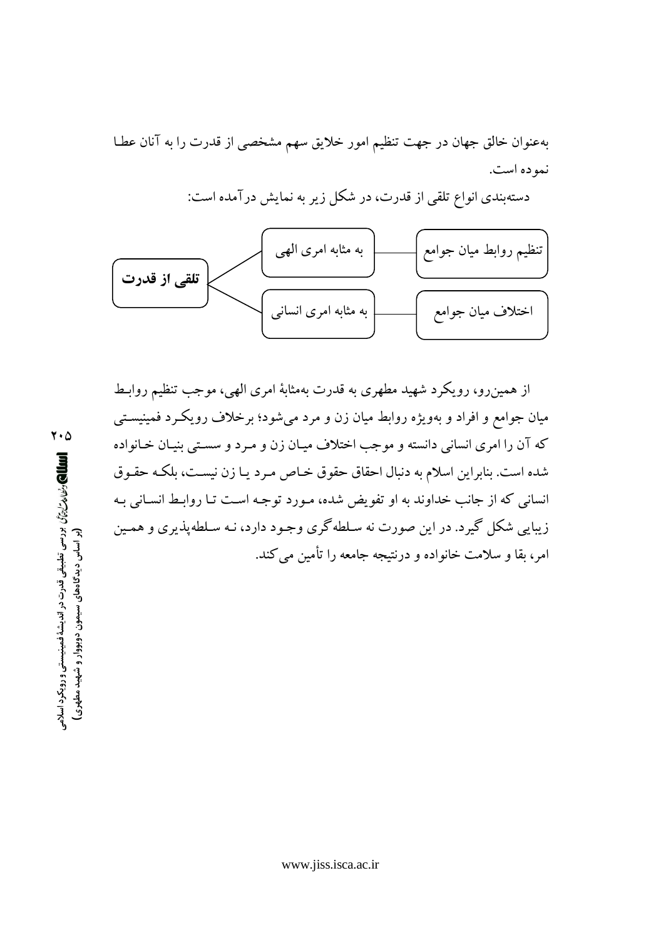بهعنوان خالق جهان در جهت تنظیم امور خلایق سهم مشخصی از قدرت را به آنان عطـا نمو ده است.

دستهبندی انواع تلقی از قدرت، در شکل زیر به نمایش درآمده است:



از همین٫و، رویکرد شهید مطهری به قدرت بهمثابهٔ امری الهی، موجب تنظیم روابـط میان جوامع و افراد و بهویژه روابط میان زن و مرد میشود؛ برخلاف رویکـرد فمینیسـتـی كه آن را امرى انساني دانسته و موجب اختلاف ميـان زن و مـرد و سسـتي بنيـان خـانواده شده است. بنابراین اسلام به دنبال احقاق حقوق خـاص مـرد یـا زن نیسـت، بلکـه حقـوق انسانی که از جانب خداوند به او تفویض شده، مـورد توجـه اسـت تـا روابـط انسـانی بـه زیبایی شکل گیرد. در این صورت نه سلطهگری وجـود دارد، نـه سـلطهپذیری و همـین امر، بقا و سلامت خانواده و درنتیجه جامعه را تأمین می کند.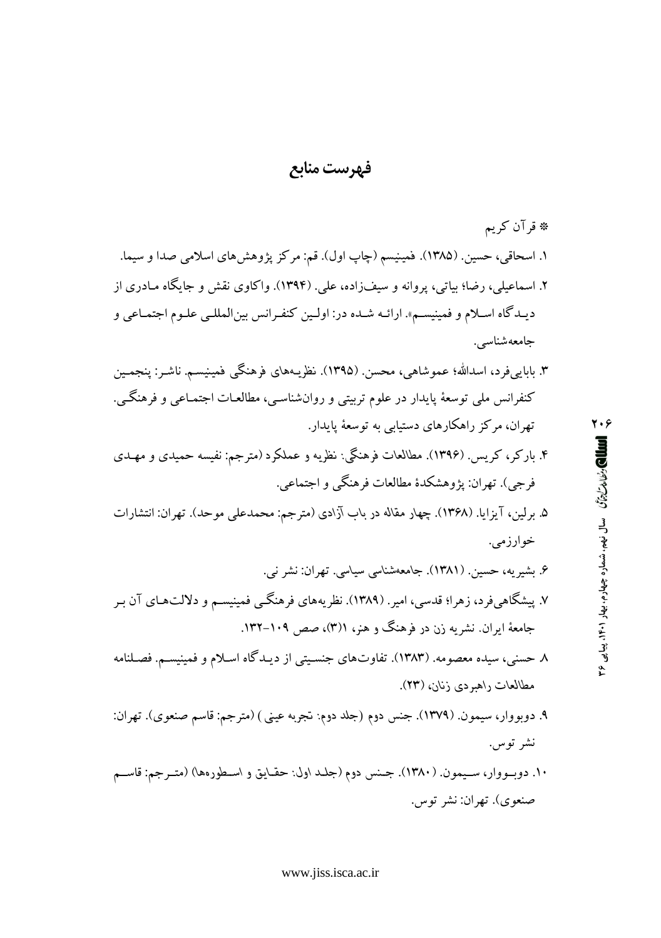### فهرست منابع

- کنفرانس ملي توسعهٔ پايدار در علوم تربيتي و روانشناسـي، مطالعـات اجتمـاعـي و فرهنگـي. تهران، مرکز راهکارهای دستیابی به توسعهٔ یایدار.
- ۴. ىاركر، كريس (۱۳۹۶). مطالعات فرهنگى: نظريه و عملكرد (مترجم: نفيسه حميدى و مهـدى فرجي). تهران: يژوهشكدهٔ مطالعات فرهنگي و اجتماعي.
- ۵. برلین، آیزایا. (۱۳۶۸). چهار مقاله در باب آزادی (مترجم: محمدعلی موحد). تهران: انتشارات خوارزمي.
- ۶. بشیریه، حسین. (۱۳۸۱). جامعهشناسی سیاسی. تهران: نشر نبی. ۷. پیشگاهیفرد، زهرا؛ قدسی، امیر. (۱۳۸۹). نظریههای فرهنگــی فمینیســم و دلالتهـای آن بـر جامعهٔ ایران نشریه زن در فرهنگ و هنر، ((۳)، صص ۱۰۹–۱۳۲.
- ٨ حسني، سيده معصومه. (١٣٨٣). تفاوتهاي جنسيتي از ديـدگاه اسـلام و فمينيسـم. فصـلنامه مطالعات راهبردي زنان، (٢٣).
- ۹. دوبووار، سيمون. (١٣٧٩). جنس دوم (جلد دوم: تجربه عيني) (مترجم: قاسم صنعوي). تهران: نشر توس.
- ۱۰. دوبـووار، سـيمون. (۱۳۸۰). جـنس دوم (جلـد اول: حقـايق و اسـطورهها) (متـرجم: قاسـم صنعوي). تهران: نشر توس.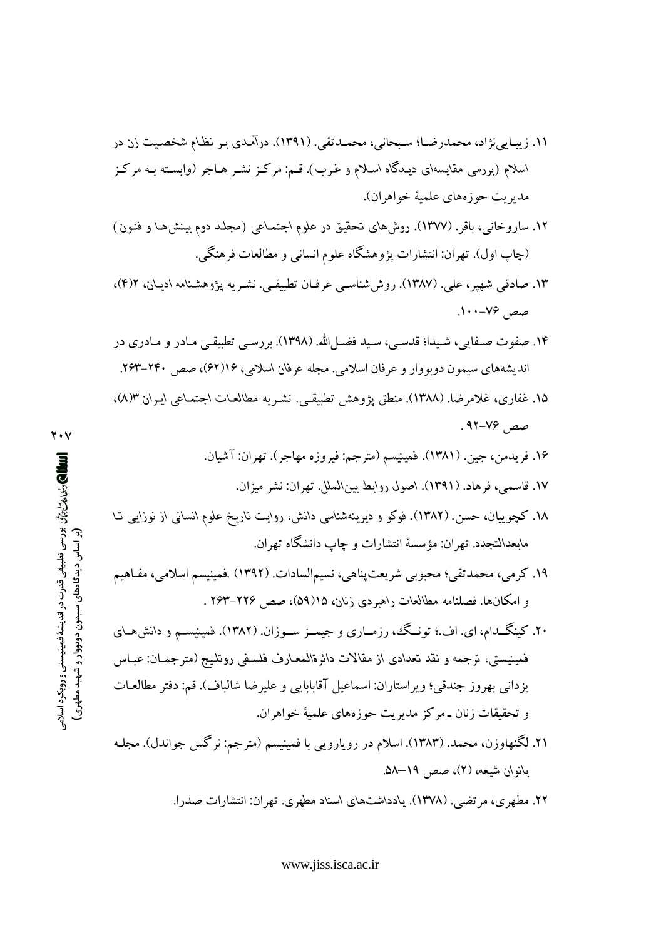- ١١. زيبـايينژاد، محمدرضـا؛ سـبحاني، محمـدتقي. (١٣٩١). درآمـدي بـر نظـام شخصـيت زن در اسلام (بررسی مقایسهای دیـدگاه اسـلام و غـرب). قـم: مرکـز نشـر هـاجر (وابسـته بـه مرکـز مديريت حوزههاي علمية خواهران).
- ۱۲. ساروخانی، باقر. (۱۳۷۷). روشهای تحقیق در علوم اجتماعی (مجلد دوم بینشها و فنـون) (چاپ اول). تهران: انتشارات یژوهشگاه علوم انسانی و مطالعات فرهنگی.
- ۱۳. صادقی شهیر، علی. (۱۳۸۷). روششناسی عرفـان تطبیقـی. نشـریه پژوهشـنامه ادیـان، ۴(۴)، صص ۷۶–۱۰۰.
- ۱۴. صفوت صـفایی، شـیدا؛ قدسـی، سـید فضـل الله. (۱۳۹۸). بررسـی تطبیقـی مـادر و مـادری در اندیشههای سیمون دوبووار و عرفان اسلامی. مجله عرفان اسلامی، ۱۶(۶۲)، صص ۲۴۰–۲۶۳.
- ۱۵. غفاري، غلامرضا. (۱۳۸۸). منطق يژوهش تطبيقـي. نشـريه مطالعـات اجتمـاعي ايـران ۵/۳)، صص ۷۶–۹۲.
	- ۱۶. فريدمن، جين. (۱۳۸۱). فمينيسم (مترجم: فيروزه مهاجر). تهران: آشيان.
		- ١٧. قاسمي، فرهاد. (١٣٩١). اصول روابط بينالملل. تهران: نشر ميزان.
- ۱۸. کچوییان، حسن. (۱۳۸۲). فوکو و دیرینهشناسی دانش، روایت تاریخ علوم انسانی از نوزایبی تـا مابعدالنجدد. تهران: مؤسسهٔ انتشارات و چاپ دانشگاه تهران.
- ۱۹. کرمی، محمدتقی؛ محبوبی شریعتپناهی، نسیمالسادات. (۱۳۹۲) .فمینیسم اسلامی، مفـاهیم و امکانها. فصلنامه مطالعات راهبردی زنان، ۱۵(۵۹)، صص ۲۲۶–۲۶۳ .
- ۲۰. کینگــدام، ای. اف.؛ تونـگ، رزمــاری و جیمــز ســوزان. (۱۳۸۲). فمینیســم و دانشهـای فمینیستی، ترجمه و نقد تعدادی از مقالات دائرةالمعـارف فلسـفی روتلـیج (مترجمـان: عبـاس يزداني بهروز جندقي؛ ويراستاران: اسماعيل آقابابايي و عليرضا شالباف). قم: دفتر مطالعـات و تحقیقات زنان ـ مرکز مدیریت حوزههای علمیهٔ خواهران.
- ۲۱. لگنهاوزن، محمد. (۱۳۸۳). اسلام در رویارویی با فمینیسم (مترجم: نرگس جواندل). مجلـه بانوان شبعه، (۲)، صص ۱۹–۵۸.

۲۲. مطهری، مرتضی. (۱۳۷۸). یادداشتهای استاد مطهری. تهران: انتشارات صدرا.

www.jiss.isca.ac.ir

الله الكارش المتابيّن بررسي تطبيقي قدرت در انديشة فمينيستي و رويكرد اسلامي المسلم (بر اساس دیدگاههای سیمون دوبووار و شهید مطهری)

7.V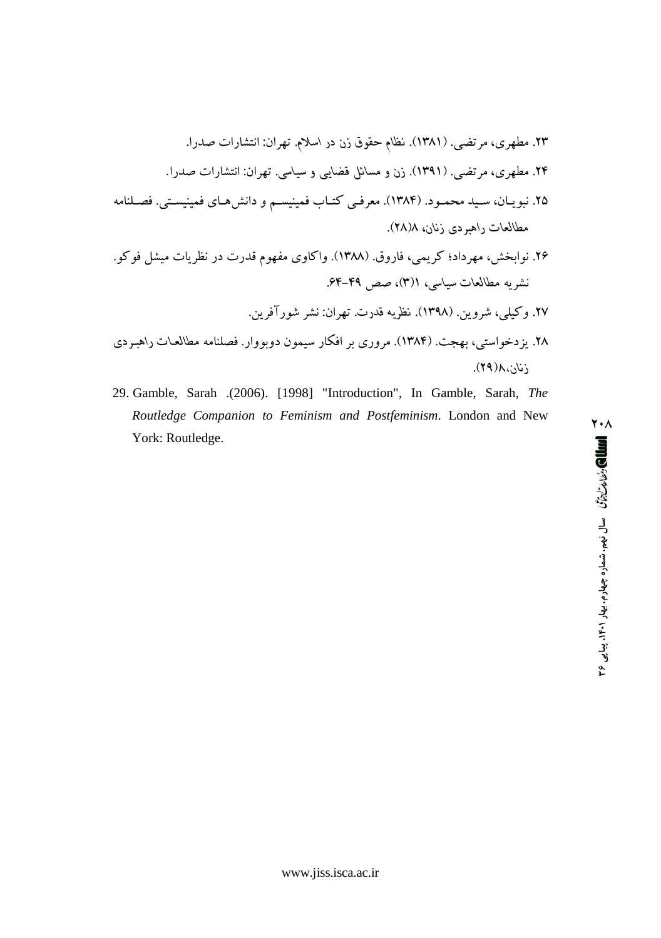Kqn UKqL~X±K ¯Kr¸W *ƻʮƊŤ Ƅƀ ƿƆ ƯLjƲź ƻťƟǁ*  ÈWr ,×r¸  .Kqn UKqL~X±K ¯Kr¸W *ͳƊťɕƊ LJ ɓɔťƗƱ ƸŢťƋƽ LJ ƿƆ*  ÈWr ,×r¸  ¶L²ª/ ÈX/z¾²¾® ×L/·|±Km ³ ¬/z¾²¾® ML/X¡ È/r  m´/®h n¾/y ,¯L/½´P±   ,*ƿťǁƆ ɒƀƅũDžŤƄ Ŭťƣƹťƛƽ* ´¡´ ¨~¾ UL½r± qm Uqn «´¸ ׳L¡K³  ³qL ,È®½r¡ -mKmr¸ ,|lOK´±   , ,*ͳƊťɕƊ Ŭťƣƹťƛƽ* ¶½r~± °½r?q´} r~± ¯Kr¸W *ŬƄƁƱ DŽɔƅƟǁ*  °½³r} ,Ȫ¾¡³  *ɒƀƅƨũDžŤƄ Ŭťƨƣƹťƛƽ* ¶L²ª qK³´O³m ¯´®¾y qL¢K rO ×q³r  V`¸O ,ÈXyK´kmt½  *ǘŐƿťǁƆ*

29. Gamble, Sarah .(2006). [1998] "Introduction", In Gamble, Sarah, *The Routledge Companion to Feminism and Postfeminism*. London and New York: Routledge.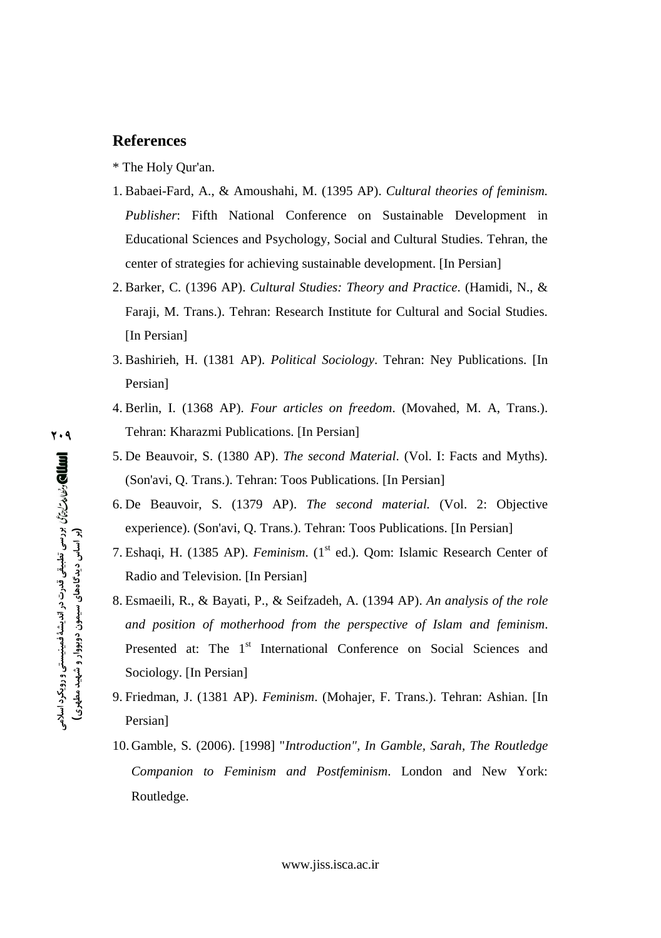- 
- Educational Sciences and Psychology, Social and Cultural Studies. Tehran, the center of strategies for achieving sustainable development. [In Persian]
- 2. Barker, C. (1396 AP). *Cultural Studies: Theory and Practice*. (Hamidi, N., & Faraji, M. Trans.). Tehran: Research Institute for Cultural and Social Studies. [In Persian]
- 3. Bashirieh, H. (1381 AP). *Political Sociology*. Tehran: Ney Publications. [In Persian]
- 4. Berlin, I. (1368 AP). *Four articles on freedom*. (Movahed, M. A, Trans.). Tehran: Kharazmi Publications. [In Persian]
- 5. De Beauvoir, S. (1380 AP). *The second Material*. (Vol. I: Facts and Myths). (Son'avi, Q. Trans.). Tehran: Toos Publications. [In Persian]
- 6. De Beauvoir, S. (1379 AP). *The second material.* (Vol. 2: Objective experience). (Son'avi, Q. Trans.). Tehran: Toos Publications. [In Persian]
- 7. Eshaqi, H. (1385 AP). *Feminism*. (1<sup>st</sup> ed.). Qom: Islamic Research Center of Radio and Television. [In Persian]
- **}**<br>c} *a* p<br>B<br>S<br>*S* **References** \* The Holy Qur'an.<br>
1. Babaei-Fard, A., & Amoushahi, M. (1395 AP). *Cultural theories of feminism.*<br> *Publisher*: Fifth National Conference on Sustainable Development in<br> *Publisher*: Fifth National Conference 8. Esmaeili, R., & Bayati, P., & Seifzadeh, A. (1394 AP). *An analysis of the role and position of motherhood from the perspective of Islam and feminism*. Presented at: The 1<sup>st</sup> International Conference on Social Sciences and Sociology. [In Persian]
	- 9. Friedman, J. (1381 AP). *Feminism*. (Mohajer, F. Trans.). Tehran: Ashian. [In Persian]
	- 10. Gamble, S. (2006). [1998] "*Introduction", In Gamble, Sarah, The Routledge Companion to Feminism and Postfeminism*. London and New York: Routledge.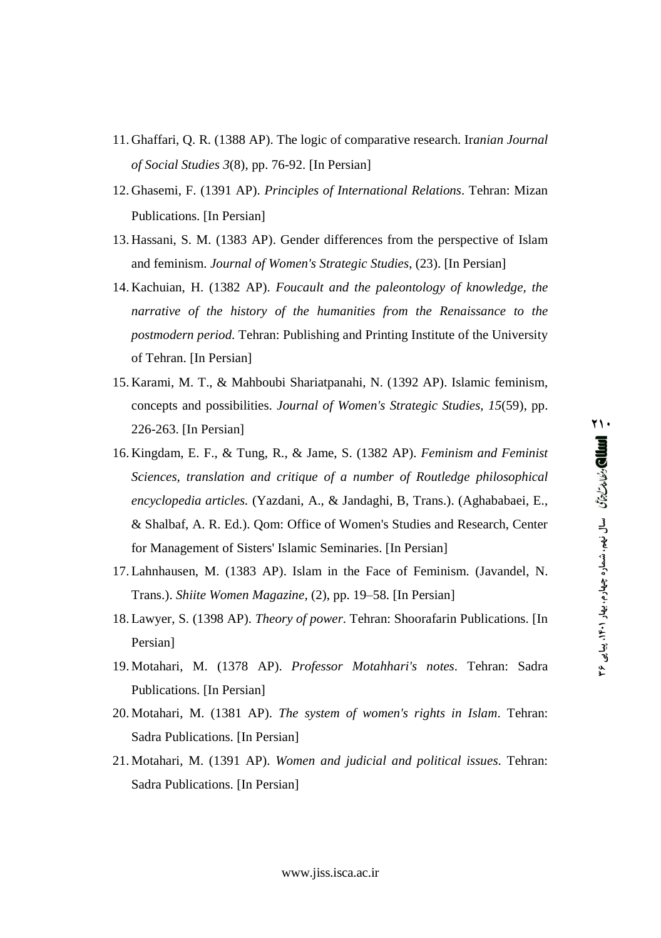- 11. Ghaffari, Q. R. (1388 AP). The logic of comparative research. Iranian Journal of Social Studies  $3(8)$ , pp. 76-92. [In Persian]
- 12. Ghasemi, F. (1391 AP). Principles of International Relations. Tehran: Mizan Publications. [In Persian]
- 13. Hassani, S. M. (1383 AP). Gender differences from the perspective of Islam and feminism. Journal of Women's Strategic Studies, (23). [In Persian]
- 14. Kachuian, H. (1382 AP). Foucault and the paleontology of knowledge, the narrative of the history of the humanities from the Renaissance to the *postmodern period.* Tehran: Publishing and Printing Institute of the University of Tehran. [In Persian]
- 15. Karami, M. T., & Mahboubi Shariatpanahi, N. (1392 AP). Islamic feminism, concepts and possibilities. Journal of Women's Strategic Studies, 15(59), pp. 226-263. [In Persian]
- 16. Kingdam, E. F., & Tung, R., & Jame, S. (1382 AP). Feminism and Feminist Sciences, translation and critique of a number of Routledge philosophical encyclopedia articles. (Yazdani, A., & Jandaghi, B, Trans.). (Aghababaei, E., & Shalbaf, A. R. Ed.). Qom: Office of Women's Studies and Research, Center for Management of Sisters' Islamic Seminaries. [In Persian]
- 17. Lahnhausen, M. (1383 AP). Islam in the Face of Feminism. (Javandel, N. Trans.). Shiite Women Magazine, (2), pp. 19–58. [In Persian]
- 18. Lawyer, S. (1398 AP). Theory of power. Tehran: Shoorafarin Publications. [In Persian]
- 19. Motahari, M. (1378 AP). Professor Motahhari's notes. Tehran: Sadra Publications. [In Persian]
- 20. Motahari, M. (1381 AP). The system of women's rights in Islam. Tehran: Sadra Publications. [In Persian]
- 21. Motahari, M. (1391 AP). Women and judicial and political issues. Tehran: Sadra Publications. [In Persian]